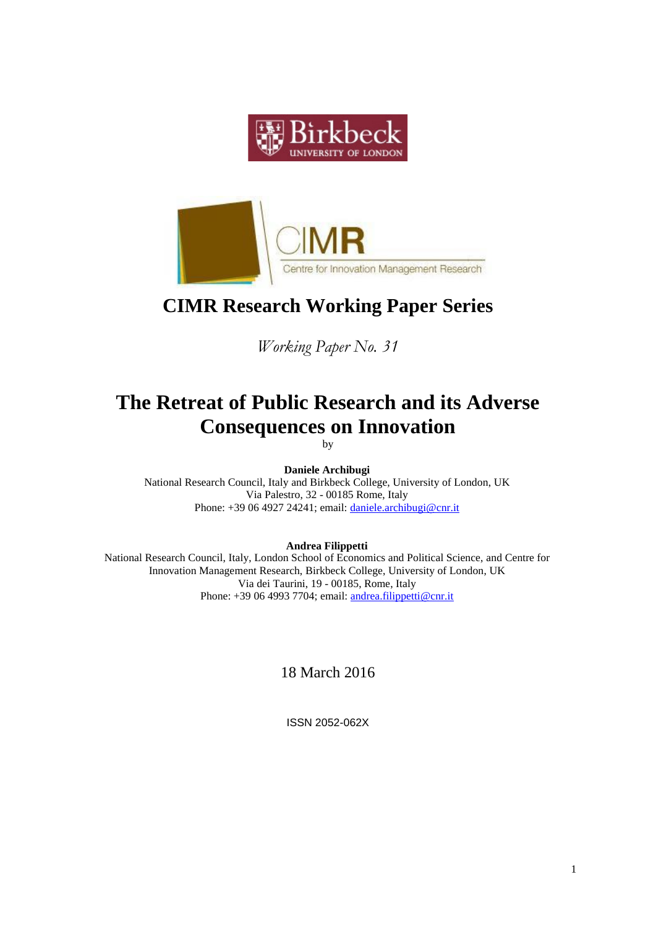



# **CIMR Research Working Paper Series**

*Working Paper No. 31*

# **The Retreat of Public Research and its Adverse Consequences on Innovation**

by

**Daniele Archibugi** National Research Council, Italy and Birkbeck College, University of London, UK Via Palestro, 32 - 00185 Rome, Italy Phone: +39 06 4927 24241; email: [daniele.archibugi@cnr.it](mailto:daniele.archibugi@cnr.it)

**Andrea Filippetti**

National Research Council, Italy, London School of Economics and Political Science, and Centre for Innovation Management Research, Birkbeck College, University of London, UK Via dei Taurini, 19 - 00185, Rome, Italy Phone: +39 06 4993 7704; email: [andrea.filippetti@cnr.it](mailto:andrea.filippetti@cnr.it)

18 March 2016

ISSN 2052-062X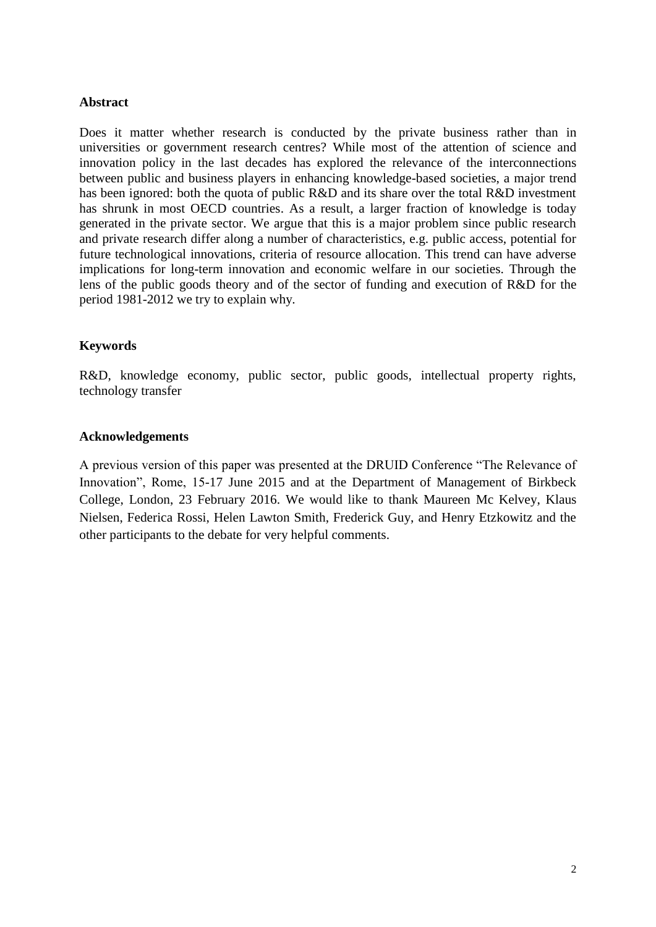### **Abstract**

Does it matter whether research is conducted by the private business rather than in universities or government research centres? While most of the attention of science and innovation policy in the last decades has explored the relevance of the interconnections between public and business players in enhancing knowledge-based societies, a major trend has been ignored: both the quota of public R&D and its share over the total R&D investment has shrunk in most OECD countries. As a result, a larger fraction of knowledge is today generated in the private sector. We argue that this is a major problem since public research and private research differ along a number of characteristics, e.g. public access, potential for future technological innovations, criteria of resource allocation. This trend can have adverse implications for long-term innovation and economic welfare in our societies. Through the lens of the public goods theory and of the sector of funding and execution of R&D for the period 1981-2012 we try to explain why.

## **Keywords**

R&D, knowledge economy, public sector, public goods, intellectual property rights, technology transfer

### **Acknowledgements**

A previous version of this paper was presented at the DRUID Conference "The Relevance of Innovation", Rome, 15-17 June 2015 and at the Department of Management of Birkbeck College, London, 23 February 2016. We would like to thank Maureen Mc Kelvey, Klaus Nielsen, Federica Rossi, Helen Lawton Smith, Frederick Guy, and Henry Etzkowitz and the other participants to the debate for very helpful comments.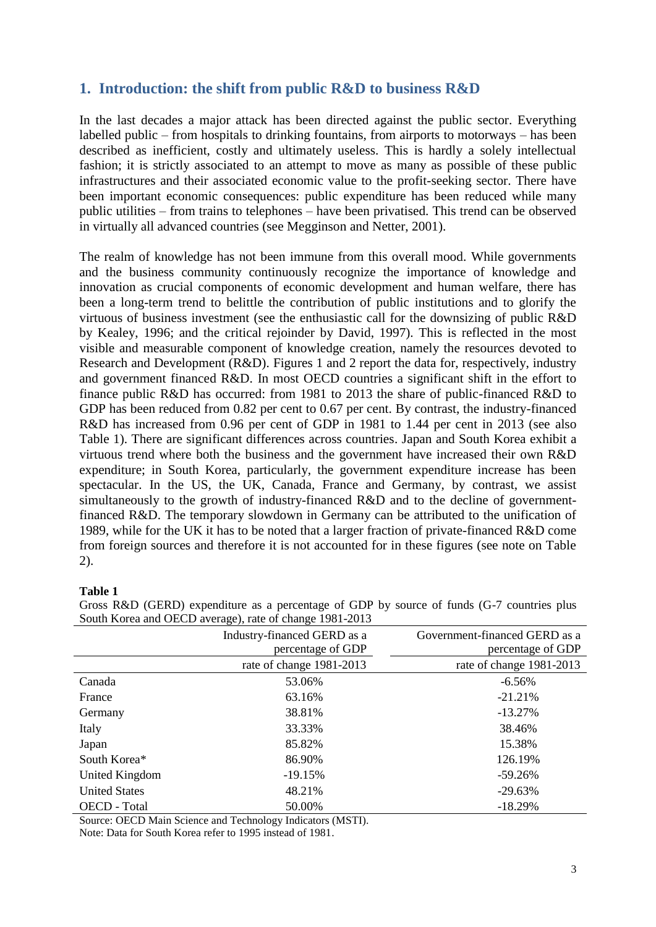# **1. Introduction: the shift from public R&D to business R&D**

In the last decades a major attack has been directed against the public sector. Everything labelled public – from hospitals to drinking fountains, from airports to motorways – has been described as inefficient, costly and ultimately useless. This is hardly a solely intellectual fashion; it is strictly associated to an attempt to move as many as possible of these public infrastructures and their associated economic value to the profit-seeking sector. There have been important economic consequences: public expenditure has been reduced while many public utilities – from trains to telephones – have been privatised. This trend can be observed in virtually all advanced countries (see Megginson and Netter, 2001).

The realm of knowledge has not been immune from this overall mood. While governments and the business community continuously recognize the importance of knowledge and innovation as crucial components of economic development and human welfare, there has been a long-term trend to belittle the contribution of public institutions and to glorify the virtuous of business investment (see the enthusiastic call for the downsizing of public R&D by Kealey, 1996; and the critical rejoinder by David, 1997). This is reflected in the most visible and measurable component of knowledge creation, namely the resources devoted to Research and Development (R&D). Figures 1 and 2 report the data for, respectively, industry and government financed R&D. In most OECD countries a significant shift in the effort to finance public R&D has occurred: from 1981 to 2013 the share of public-financed R&D to GDP has been reduced from 0.82 per cent to 0.67 per cent. By contrast, the industry-financed R&D has increased from 0.96 per cent of GDP in 1981 to 1.44 per cent in 2013 (see also Table 1). There are significant differences across countries. Japan and South Korea exhibit a virtuous trend where both the business and the government have increased their own R&D expenditure; in South Korea, particularly, the government expenditure increase has been spectacular. In the US, the UK, Canada, France and Germany, by contrast, we assist simultaneously to the growth of industry-financed R&D and to the decline of governmentfinanced R&D. The temporary slowdown in Germany can be attributed to the unification of 1989, while for the UK it has to be noted that a larger fraction of private-financed R&D come from foreign sources and therefore it is not accounted for in these figures (see note on Table 2).

### **Table 1**

|                      | Industry-financed GERD as a<br>percentage of GDP | Government-financed GERD as a<br>percentage of GDP |
|----------------------|--------------------------------------------------|----------------------------------------------------|
|                      | rate of change 1981-2013                         | rate of change 1981-2013                           |
| Canada               | 53.06%                                           | $-6.56%$                                           |
| France               | 63.16%                                           | $-21.21%$                                          |
| Germany              | 38.81%                                           | $-13.27%$                                          |
| Italy                | 33.33%                                           | 38.46%                                             |
| Japan                | 85.82%                                           | 15.38%                                             |
| South Korea*         | 86.90%                                           | 126.19%                                            |
| United Kingdom       | $-19.15%$                                        | $-59.26%$                                          |
| <b>United States</b> | 48.21%                                           | $-29.63%$                                          |
| OECD - Total         | 50.00%                                           | $-18.29%$                                          |

Gross R&D (GERD) expenditure as a percentage of GDP by source of funds (G-7 countries plus South Korea and OECD average), rate of change 1981-2013

Source: OECD Main Science and Technology Indicators (MSTI). Note: Data for South Korea refer to 1995 instead of 1981.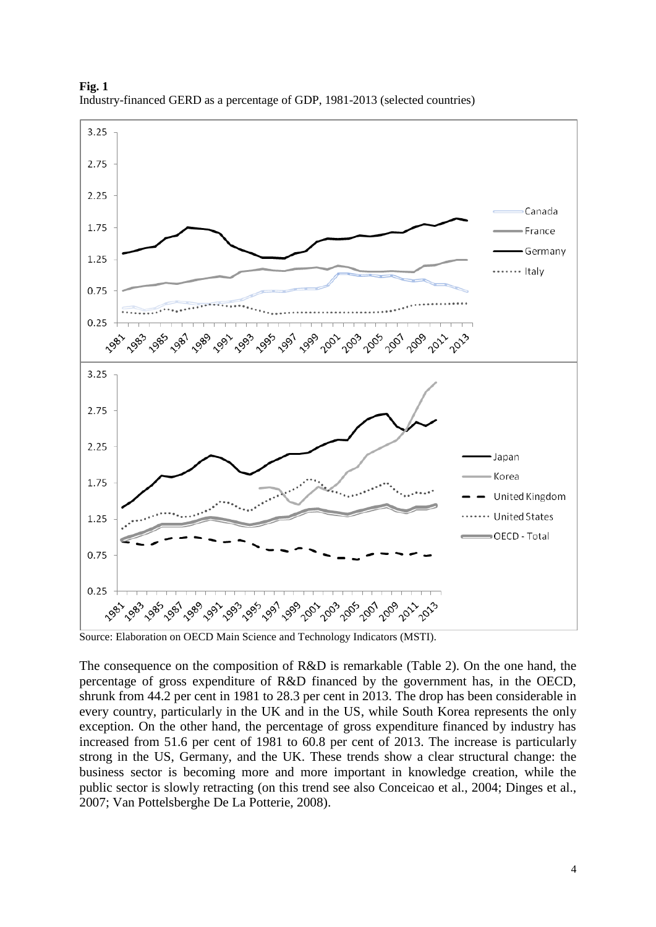

**Fig. 1** Industry-financed GERD as a percentage of GDP, 1981-2013 (selected countries)

Source: Elaboration on OECD Main Science and Technology Indicators (MSTI).

The consequence on the composition of R&D is remarkable (Table 2). On the one hand, the percentage of gross expenditure of R&D financed by the government has, in the OECD, shrunk from 44.2 per cent in 1981 to 28.3 per cent in 2013. The drop has been considerable in every country, particularly in the UK and in the US, while South Korea represents the only exception. On the other hand, the percentage of gross expenditure financed by industry has increased from 51.6 per cent of 1981 to 60.8 per cent of 2013. The increase is particularly strong in the US, Germany, and the UK. These trends show a clear structural change: the business sector is becoming more and more important in knowledge creation, while the public sector is slowly retracting (on this trend see also Conceicao et al., 2004; Dinges et al., 2007; Van Pottelsberghe De La Potterie, 2008).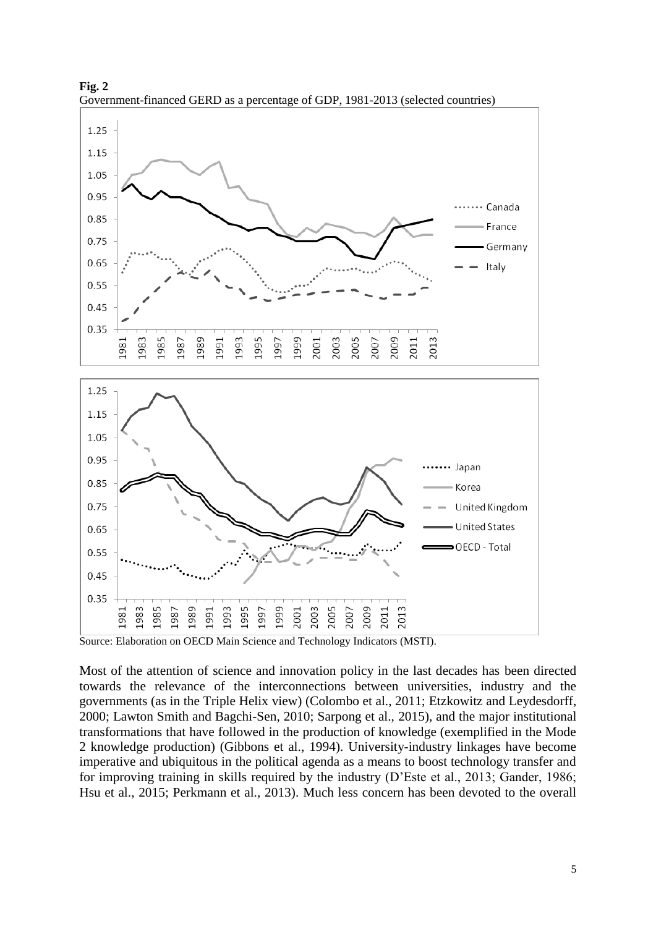

**Fig. 2** Government-financed GERD as a percentage of GDP, 1981-2013 (selected countries)

Most of the attention of science and innovation policy in the last decades has been directed towards the relevance of the interconnections between universities, industry and the governments (as in the Triple Helix view) (Colombo et al., 2011; Etzkowitz and Leydesdorff, 2000; Lawton Smith and Bagchi-Sen, 2010; Sarpong et al., 2015), and the major institutional transformations that have followed in the production of knowledge (exemplified in the Mode 2 knowledge production) (Gibbons et al., 1994). University-industry linkages have become imperative and ubiquitous in the political agenda as a means to boost technology transfer and for improving training in skills required by the industry (D'Este et al., 2013; Gander, 1986; Hsu et al., 2015; Perkmann et al., 2013). Much less concern has been devoted to the overall

Source: Elaboration on OECD Main Science and Technology Indicators (MSTI).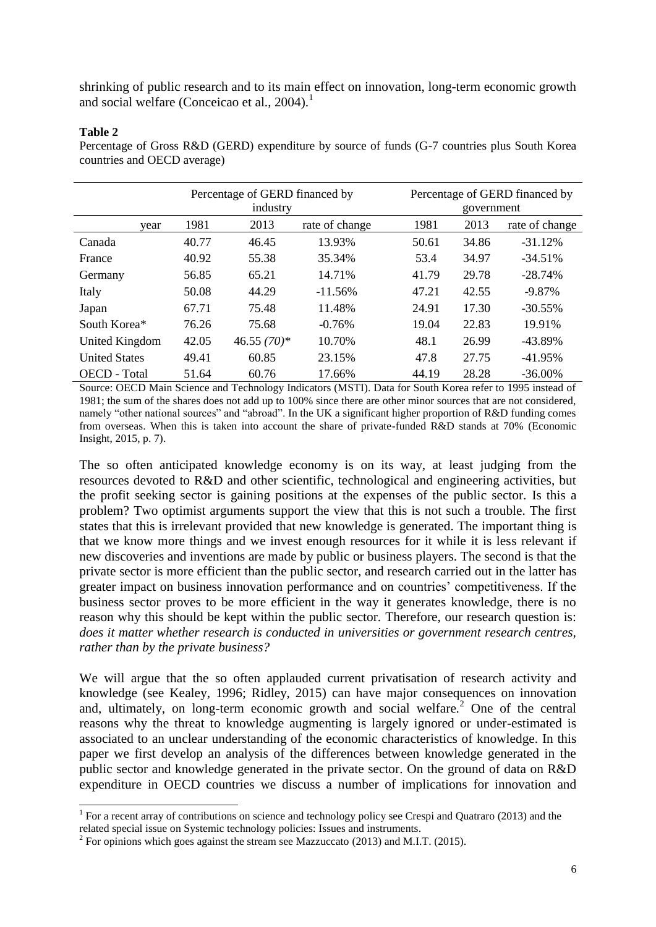shrinking of public research and to its main effect on innovation, long-term economic growth and social welfare (Conceicao et al., 2004). 1

#### **Table 2**

 $\overline{a}$ 

Percentage of Gross R&D (GERD) expenditure by source of funds (G-7 countries plus South Korea countries and OECD average)

|                      | Percentage of GERD financed by<br>industry |               |            |       | Percentage of GERD financed by<br>government |            |  |  |
|----------------------|--------------------------------------------|---------------|------------|-------|----------------------------------------------|------------|--|--|
| year                 | 1981<br>2013<br>rate of change             |               | 1981       | 2013  | rate of change                               |            |  |  |
| Canada               | 40.77                                      | 46.45         | 13.93%     | 50.61 | 34.86                                        | $-31.12%$  |  |  |
| France               | 40.92                                      | 55.38         | 35.34%     | 53.4  | 34.97                                        | $-34.51%$  |  |  |
| Germany              | 56.85                                      | 65.21         | 14.71%     | 41.79 | 29.78                                        | $-28.74%$  |  |  |
| Italy                | 50.08                                      | 44.29         | $-11.56\%$ | 47.21 | 42.55                                        | $-9.87\%$  |  |  |
| Japan                | 67.71                                      | 75.48         | 11.48%     | 24.91 | 17.30                                        | $-30.55\%$ |  |  |
| South Korea*         | 76.26                                      | 75.68         | $-0.76%$   | 19.04 | 22.83                                        | 19.91%     |  |  |
| United Kingdom       | 42.05                                      | 46.55 $(70)*$ | 10.70%     | 48.1  | 26.99                                        | $-43.89%$  |  |  |
| <b>United States</b> | 49.41                                      | 60.85         | 23.15%     | 47.8  | 27.75                                        | $-41.95%$  |  |  |
| <b>OECD</b> - Total  | 51.64                                      | 60.76         | 17.66%     | 44.19 | 28.28                                        | $-36.00\%$ |  |  |

Source: OECD Main Science and Technology Indicators (MSTI). Data for South Korea refer to 1995 instead of 1981; the sum of the shares does not add up to 100% since there are other minor sources that are not considered, namely "other national sources" and "abroad". In the UK a significant higher proportion of R&D funding comes from overseas. When this is taken into account the share of private-funded R&D stands at 70% (Economic Insight, 2015, p. 7).

The so often anticipated knowledge economy is on its way, at least judging from the resources devoted to R&D and other scientific, technological and engineering activities, but the profit seeking sector is gaining positions at the expenses of the public sector. Is this a problem? Two optimist arguments support the view that this is not such a trouble. The first states that this is irrelevant provided that new knowledge is generated. The important thing is that we know more things and we invest enough resources for it while it is less relevant if new discoveries and inventions are made by public or business players. The second is that the private sector is more efficient than the public sector, and research carried out in the latter has greater impact on business innovation performance and on countries' competitiveness. If the business sector proves to be more efficient in the way it generates knowledge, there is no reason why this should be kept within the public sector. Therefore, our research question is: *does it matter whether research is conducted in universities or government research centres, rather than by the private business?*

We will argue that the so often applauded current privatisation of research activity and knowledge (see Kealey, 1996; Ridley, 2015) can have major consequences on innovation and, ultimately, on long-term economic growth and social welfare*.* <sup>2</sup> One of the central reasons why the threat to knowledge augmenting is largely ignored or under-estimated is associated to an unclear understanding of the economic characteristics of knowledge. In this paper we first develop an analysis of the differences between knowledge generated in the public sector and knowledge generated in the private sector. On the ground of data on R&D expenditure in OECD countries we discuss a number of implications for innovation and

<sup>&</sup>lt;sup>1</sup> For a recent array of contributions on science and technology policy see Crespi and Quatraro (2013) and the related special issue on Systemic technology policies: Issues and instruments.

 $2^2$  For opinions which goes against the stream see Mazzuccato (2013) and M.I.T. (2015).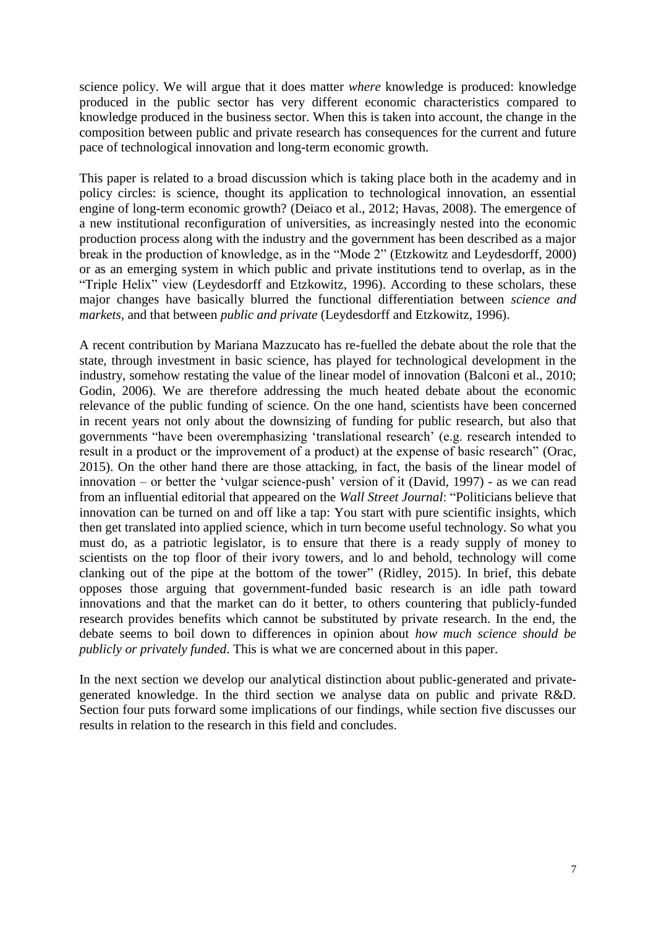science policy. We will argue that it does matter *where* knowledge is produced: knowledge produced in the public sector has very different economic characteristics compared to knowledge produced in the business sector. When this is taken into account, the change in the composition between public and private research has consequences for the current and future pace of technological innovation and long-term economic growth.

This paper is related to a broad discussion which is taking place both in the academy and in policy circles: is science, thought its application to technological innovation, an essential engine of long-term economic growth? (Deiaco et al., 2012; Havas, 2008). The emergence of a new institutional reconfiguration of universities, as increasingly nested into the economic production process along with the industry and the government has been described as a major break in the production of knowledge, as in the "Mode 2" (Etzkowitz and Leydesdorff, 2000) or as an emerging system in which public and private institutions tend to overlap, as in the "Triple Helix" view (Leydesdorff and Etzkowitz, 1996). According to these scholars, these major changes have basically blurred the functional differentiation between *science and markets*, and that between *public and private* (Leydesdorff and Etzkowitz, 1996).

A recent contribution by Mariana Mazzucato has re-fuelled the debate about the role that the state, through investment in basic science, has played for technological development in the industry, somehow restating the value of the linear model of innovation (Balconi et al., 2010; Godin, 2006). We are therefore addressing the much heated debate about the economic relevance of the public funding of science. On the one hand, scientists have been concerned in recent years not only about the downsizing of funding for public research, but also that governments "have been overemphasizing 'translational research' (e.g. research intended to result in a product or the improvement of a product) at the expense of basic research" (Orac, 2015). On the other hand there are those attacking, in fact, the basis of the linear model of innovation – or better the 'vulgar science-push' version of it (David, 1997) - as we can read from an influential editorial that appeared on the *Wall Street Journal*: "Politicians believe that innovation can be turned on and off like a tap: You start with pure scientific insights, which then get translated into applied science, which in turn become useful technology. So what you must do, as a patriotic legislator, is to ensure that there is a ready supply of money to scientists on the top floor of their ivory towers, and lo and behold, technology will come clanking out of the pipe at the bottom of the tower" (Ridley, 2015). In brief, this debate opposes those arguing that government-funded basic research is an idle path toward innovations and that the market can do it better, to others countering that publicly-funded research provides benefits which cannot be substituted by private research. In the end, the debate seems to boil down to differences in opinion about *how much science should be publicly or privately funded*. This is what we are concerned about in this paper.

In the next section we develop our analytical distinction about public-generated and privategenerated knowledge. In the third section we analyse data on public and private R&D. Section four puts forward some implications of our findings, while section five discusses our results in relation to the research in this field and concludes.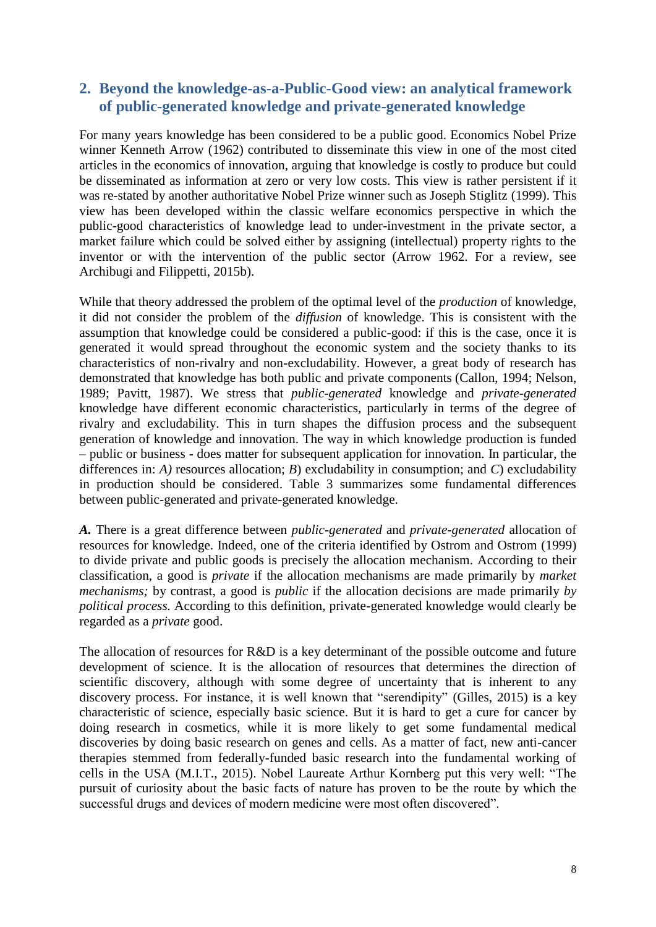# **2. Beyond the knowledge-as-a-Public-Good view: an analytical framework of public-generated knowledge and private-generated knowledge**

For many years knowledge has been considered to be a public good. Economics Nobel Prize winner Kenneth Arrow (1962) contributed to disseminate this view in one of the most cited articles in the economics of innovation, arguing that knowledge is costly to produce but could be disseminated as information at zero or very low costs. This view is rather persistent if it was re-stated by another authoritative Nobel Prize winner such as Joseph Stiglitz (1999). This view has been developed within the classic welfare economics perspective in which the public-good characteristics of knowledge lead to under-investment in the private sector, a market failure which could be solved either by assigning (intellectual) property rights to the inventor or with the intervention of the public sector (Arrow 1962. For a review, see Archibugi and Filippetti, 2015b).

While that theory addressed the problem of the optimal level of the *production* of knowledge, it did not consider the problem of the *diffusion* of knowledge. This is consistent with the assumption that knowledge could be considered a public-good: if this is the case, once it is generated it would spread throughout the economic system and the society thanks to its characteristics of non-rivalry and non-excludability. However, a great body of research has demonstrated that knowledge has both public and private components (Callon, 1994; Nelson, 1989; Pavitt, 1987). We stress that *public-generated* knowledge and *private-generated* knowledge have different economic characteristics, particularly in terms of the degree of rivalry and excludability. This in turn shapes the diffusion process and the subsequent generation of knowledge and innovation. The way in which knowledge production is funded – public or business - does matter for subsequent application for innovation. In particular, the differences in: *A)* resources allocation; *B*) excludability in consumption; and *C*) excludability in production should be considered. Table 3 summarizes some fundamental differences between public-generated and private-generated knowledge.

*A.* There is a great difference between *public-generated* and *private-generated* allocation of resources for knowledge. Indeed, one of the criteria identified by Ostrom and Ostrom (1999) to divide private and public goods is precisely the allocation mechanism. According to their classification, a good is *private* if the allocation mechanisms are made primarily by *market mechanisms;* by contrast, a good is *public* if the allocation decisions are made primarily *by political process.* According to this definition, private-generated knowledge would clearly be regarded as a *private* good.

The allocation of resources for R&D is a key determinant of the possible outcome and future development of science. It is the allocation of resources that determines the direction of scientific discovery, although with some degree of uncertainty that is inherent to any discovery process. For instance, it is well known that "serendipity" (Gilles, 2015) is a key characteristic of science, especially basic science. But it is hard to get a cure for cancer by doing research in cosmetics, while it is more likely to get some fundamental medical discoveries by doing basic research on genes and cells. As a matter of fact, new anti-cancer therapies stemmed from federally-funded basic research into the fundamental working of cells in the USA (M.I.T., 2015). Nobel Laureate Arthur Kornberg put this very well: "The pursuit of curiosity about the basic facts of nature has proven to be the route by which the successful drugs and devices of modern medicine were most often discovered".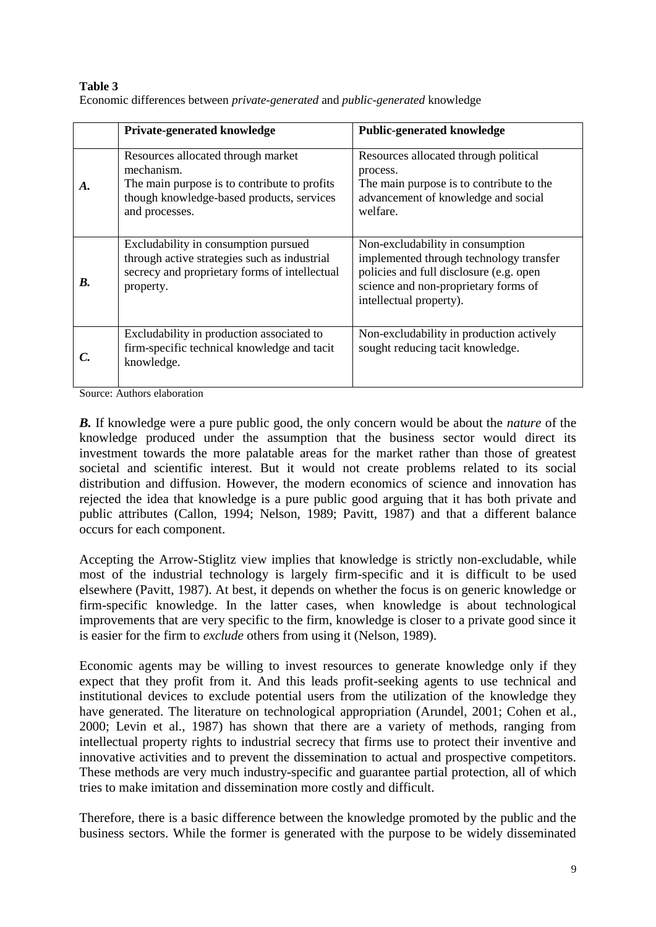#### **Table 3** Economic differences between *private-generated* and *public-generated* knowledge

|    | <b>Private-generated knowledge</b>                                                                                                                              | <b>Public-generated knowledge</b>                                                                                                                                                         |  |  |
|----|-----------------------------------------------------------------------------------------------------------------------------------------------------------------|-------------------------------------------------------------------------------------------------------------------------------------------------------------------------------------------|--|--|
| A. | Resources allocated through market<br>mechanism.<br>The main purpose is to contribute to profits<br>though knowledge-based products, services<br>and processes. | Resources allocated through political<br>process.<br>The main purpose is to contribute to the<br>advancement of knowledge and social<br>welfare.                                          |  |  |
| B. | Excludability in consumption pursued<br>through active strategies such as industrial<br>secrecy and proprietary forms of intellectual<br>property.              | Non-excludability in consumption<br>implemented through technology transfer<br>policies and full disclosure (e.g. open<br>science and non-proprietary forms of<br>intellectual property). |  |  |
|    | Excludability in production associated to<br>firm-specific technical knowledge and tacit<br>knowledge.                                                          | Non-excludability in production actively<br>sought reducing tacit knowledge.                                                                                                              |  |  |

Source: Authors elaboration

*B.* If knowledge were a pure public good, the only concern would be about the *nature* of the knowledge produced under the assumption that the business sector would direct its investment towards the more palatable areas for the market rather than those of greatest societal and scientific interest. But it would not create problems related to its social distribution and diffusion. However, the modern economics of science and innovation has rejected the idea that knowledge is a pure public good arguing that it has both private and public attributes (Callon, 1994; Nelson, 1989; Pavitt, 1987) and that a different balance occurs for each component.

Accepting the Arrow-Stiglitz view implies that knowledge is strictly non-excludable, while most of the industrial technology is largely firm-specific and it is difficult to be used elsewhere (Pavitt, 1987). At best, it depends on whether the focus is on generic knowledge or firm-specific knowledge. In the latter cases, when knowledge is about technological improvements that are very specific to the firm, knowledge is closer to a private good since it is easier for the firm to *exclude* others from using it (Nelson, 1989).

Economic agents may be willing to invest resources to generate knowledge only if they expect that they profit from it. And this leads profit-seeking agents to use technical and institutional devices to exclude potential users from the utilization of the knowledge they have generated. The literature on technological appropriation (Arundel, 2001; Cohen et al., 2000; Levin et al., 1987) has shown that there are a variety of methods, ranging from intellectual property rights to industrial secrecy that firms use to protect their inventive and innovative activities and to prevent the dissemination to actual and prospective competitors. These methods are very much industry-specific and guarantee partial protection, all of which tries to make imitation and dissemination more costly and difficult.

Therefore, there is a basic difference between the knowledge promoted by the public and the business sectors. While the former is generated with the purpose to be widely disseminated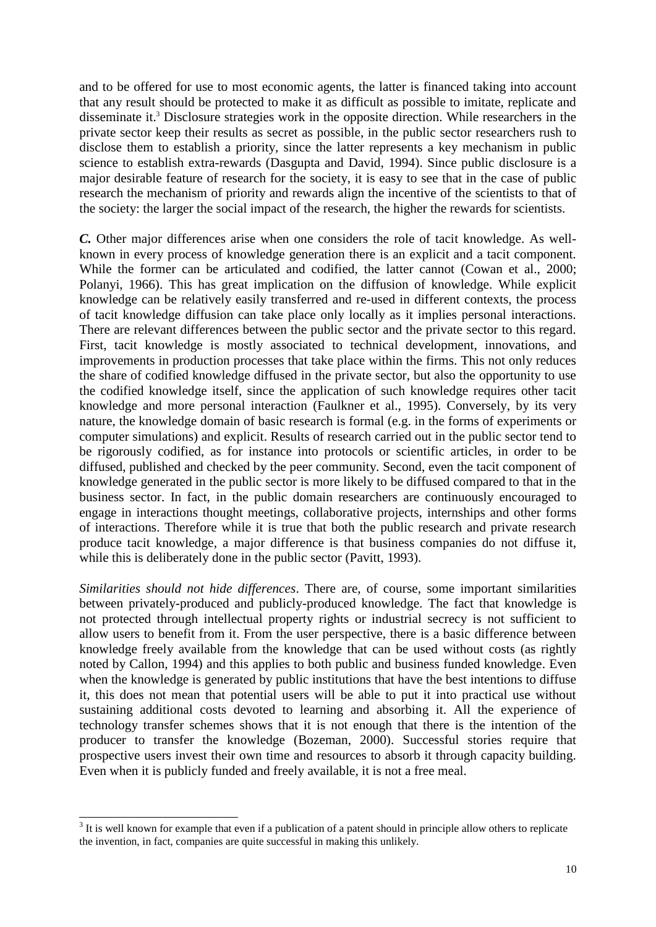and to be offered for use to most economic agents, the latter is financed taking into account that any result should be protected to make it as difficult as possible to imitate, replicate and disseminate it.<sup>3</sup> Disclosure strategies work in the opposite direction. While researchers in the private sector keep their results as secret as possible, in the public sector researchers rush to disclose them to establish a priority, since the latter represents a key mechanism in public science to establish extra-rewards (Dasgupta and David, 1994). Since public disclosure is a major desirable feature of research for the society, it is easy to see that in the case of public research the mechanism of priority and rewards align the incentive of the scientists to that of the society: the larger the social impact of the research, the higher the rewards for scientists.

*C.* Other major differences arise when one considers the role of tacit knowledge. As wellknown in every process of knowledge generation there is an explicit and a tacit component. While the former can be articulated and codified, the latter cannot (Cowan et al., 2000; Polanyi, 1966). This has great implication on the diffusion of knowledge. While explicit knowledge can be relatively easily transferred and re-used in different contexts, the process of tacit knowledge diffusion can take place only locally as it implies personal interactions. There are relevant differences between the public sector and the private sector to this regard. First, tacit knowledge is mostly associated to technical development, innovations, and improvements in production processes that take place within the firms. This not only reduces the share of codified knowledge diffused in the private sector, but also the opportunity to use the codified knowledge itself, since the application of such knowledge requires other tacit knowledge and more personal interaction (Faulkner et al., 1995). Conversely, by its very nature, the knowledge domain of basic research is formal (e.g. in the forms of experiments or computer simulations) and explicit. Results of research carried out in the public sector tend to be rigorously codified, as for instance into protocols or scientific articles, in order to be diffused, published and checked by the peer community. Second, even the tacit component of knowledge generated in the public sector is more likely to be diffused compared to that in the business sector. In fact, in the public domain researchers are continuously encouraged to engage in interactions thought meetings, collaborative projects, internships and other forms of interactions. Therefore while it is true that both the public research and private research produce tacit knowledge, a major difference is that business companies do not diffuse it, while this is deliberately done in the public sector (Pavitt, 1993).

*Similarities should not hide differences*. There are, of course, some important similarities between privately-produced and publicly-produced knowledge. The fact that knowledge is not protected through intellectual property rights or industrial secrecy is not sufficient to allow users to benefit from it. From the user perspective, there is a basic difference between knowledge freely available from the knowledge that can be used without costs (as rightly noted by Callon, 1994) and this applies to both public and business funded knowledge. Even when the knowledge is generated by public institutions that have the best intentions to diffuse it, this does not mean that potential users will be able to put it into practical use without sustaining additional costs devoted to learning and absorbing it. All the experience of technology transfer schemes shows that it is not enough that there is the intention of the producer to transfer the knowledge (Bozeman, 2000). Successful stories require that prospective users invest their own time and resources to absorb it through capacity building. Even when it is publicly funded and freely available, it is not a free meal.

<sup>&</sup>lt;sup>3</sup> It is well known for example that even if a publication of a patent should in principle allow others to replicate the invention, in fact, companies are quite successful in making this unlikely.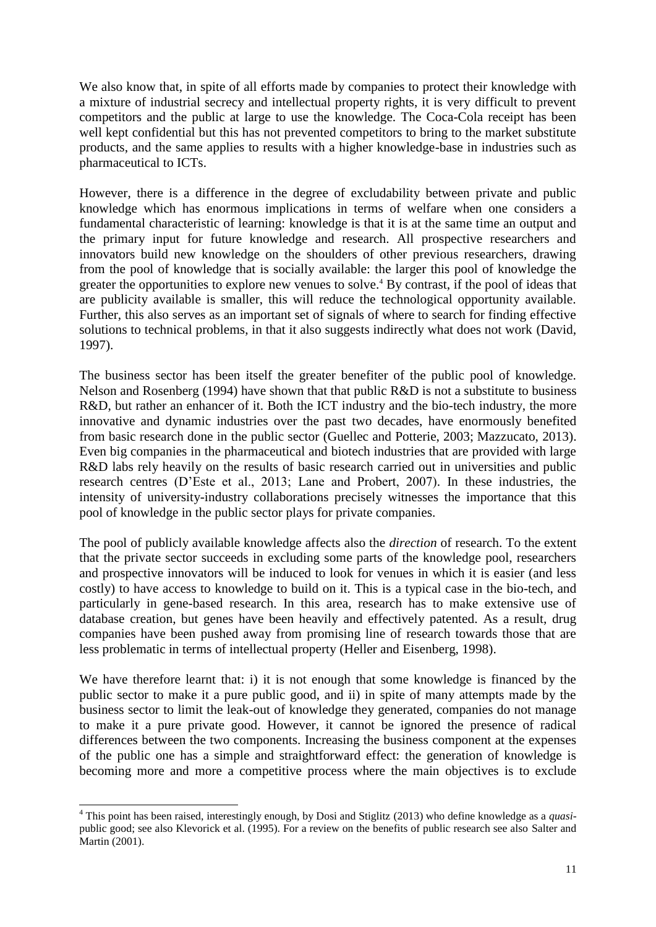We also know that, in spite of all efforts made by companies to protect their knowledge with a mixture of industrial secrecy and intellectual property rights, it is very difficult to prevent competitors and the public at large to use the knowledge. The Coca-Cola receipt has been well kept confidential but this has not prevented competitors to bring to the market substitute products, and the same applies to results with a higher knowledge-base in industries such as pharmaceutical to ICTs.

However, there is a difference in the degree of excludability between private and public knowledge which has enormous implications in terms of welfare when one considers a fundamental characteristic of learning: knowledge is that it is at the same time an output and the primary input for future knowledge and research. All prospective researchers and innovators build new knowledge on the shoulders of other previous researchers, drawing from the pool of knowledge that is socially available: the larger this pool of knowledge the greater the opportunities to explore new venues to solve.<sup>4</sup> By contrast, if the pool of ideas that are publicity available is smaller, this will reduce the technological opportunity available. Further, this also serves as an important set of signals of where to search for finding effective solutions to technical problems, in that it also suggests indirectly what does not work (David, 1997).

The business sector has been itself the greater benefiter of the public pool of knowledge. Nelson and Rosenberg (1994) have shown that that public R&D is not a substitute to business R&D, but rather an enhancer of it. Both the ICT industry and the bio-tech industry, the more innovative and dynamic industries over the past two decades, have enormously benefited from basic research done in the public sector (Guellec and Potterie, 2003; Mazzucato, 2013). Even big companies in the pharmaceutical and biotech industries that are provided with large R&D labs rely heavily on the results of basic research carried out in universities and public research centres (D'Este et al., 2013; Lane and Probert, 2007). In these industries, the intensity of university-industry collaborations precisely witnesses the importance that this pool of knowledge in the public sector plays for private companies.

The pool of publicly available knowledge affects also the *direction* of research. To the extent that the private sector succeeds in excluding some parts of the knowledge pool, researchers and prospective innovators will be induced to look for venues in which it is easier (and less costly) to have access to knowledge to build on it. This is a typical case in the bio-tech, and particularly in gene-based research. In this area, research has to make extensive use of database creation, but genes have been heavily and effectively patented. As a result, drug companies have been pushed away from promising line of research towards those that are less problematic in terms of intellectual property (Heller and Eisenberg, 1998).

We have therefore learnt that: i) it is not enough that some knowledge is financed by the public sector to make it a pure public good, and ii) in spite of many attempts made by the business sector to limit the leak-out of knowledge they generated, companies do not manage to make it a pure private good. However, it cannot be ignored the presence of radical differences between the two components. Increasing the business component at the expenses of the public one has a simple and straightforward effect: the generation of knowledge is becoming more and more a competitive process where the main objectives is to exclude

 $\overline{a}$ 

<sup>4</sup> This point has been raised, interestingly enough, by Dosi and Stiglitz (2013) who define knowledge as a *quasi*public good; see also Klevorick et al. (1995). For a review on the benefits of public research see also Salter and Martin (2001).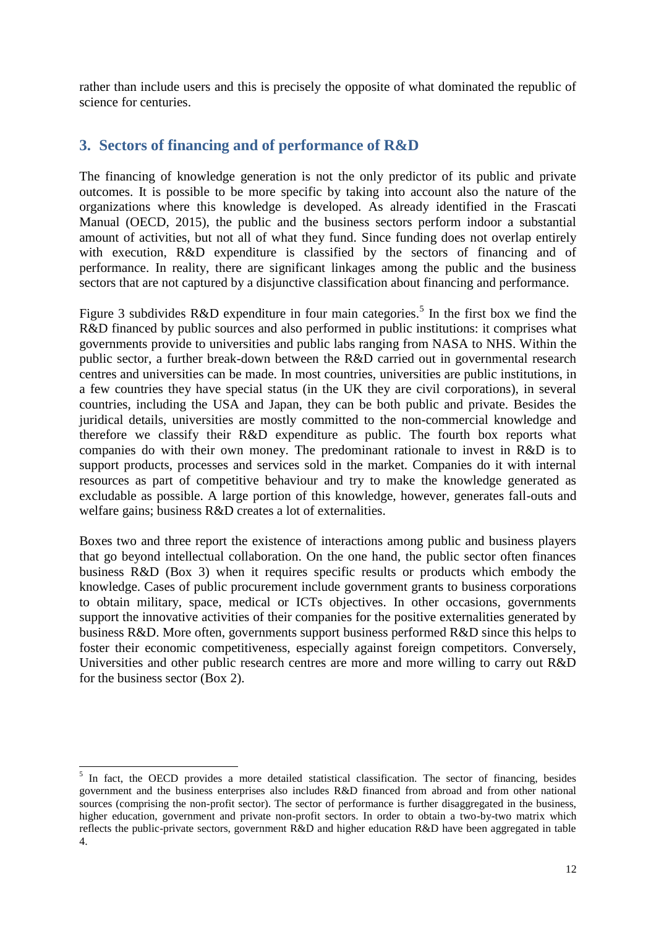rather than include users and this is precisely the opposite of what dominated the republic of science for centuries.

# **3. Sectors of financing and of performance of R&D**

The financing of knowledge generation is not the only predictor of its public and private outcomes. It is possible to be more specific by taking into account also the nature of the organizations where this knowledge is developed. As already identified in the Frascati Manual (OECD, 2015), the public and the business sectors perform indoor a substantial amount of activities, but not all of what they fund. Since funding does not overlap entirely with execution, R&D expenditure is classified by the sectors of financing and of performance. In reality, there are significant linkages among the public and the business sectors that are not captured by a disjunctive classification about financing and performance.

Figure 3 subdivides R&D expenditure in four main categories.<sup>5</sup> In the first box we find the R&D financed by public sources and also performed in public institutions: it comprises what governments provide to universities and public labs ranging from NASA to NHS. Within the public sector, a further break-down between the R&D carried out in governmental research centres and universities can be made. In most countries, universities are public institutions, in a few countries they have special status (in the UK they are civil corporations), in several countries, including the USA and Japan, they can be both public and private. Besides the juridical details, universities are mostly committed to the non-commercial knowledge and therefore we classify their R&D expenditure as public. The fourth box reports what companies do with their own money. The predominant rationale to invest in R&D is to support products, processes and services sold in the market. Companies do it with internal resources as part of competitive behaviour and try to make the knowledge generated as excludable as possible. A large portion of this knowledge, however, generates fall-outs and welfare gains; business R&D creates a lot of externalities.

Boxes two and three report the existence of interactions among public and business players that go beyond intellectual collaboration. On the one hand, the public sector often finances business R&D (Box 3) when it requires specific results or products which embody the knowledge. Cases of public procurement include government grants to business corporations to obtain military, space, medical or ICTs objectives. In other occasions, governments support the innovative activities of their companies for the positive externalities generated by business R&D. More often, governments support business performed R&D since this helps to foster their economic competitiveness, especially against foreign competitors. Conversely, Universities and other public research centres are more and more willing to carry out R&D for the business sector (Box 2).

1

<sup>&</sup>lt;sup>5</sup> In fact, the OECD provides a more detailed statistical classification. The sector of financing, besides government and the business enterprises also includes R&D financed from abroad and from other national sources (comprising the non-profit sector). The sector of performance is further disaggregated in the business, higher education, government and private non-profit sectors. In order to obtain a two-by-two matrix which reflects the public-private sectors, government R&D and higher education R&D have been aggregated in table 4.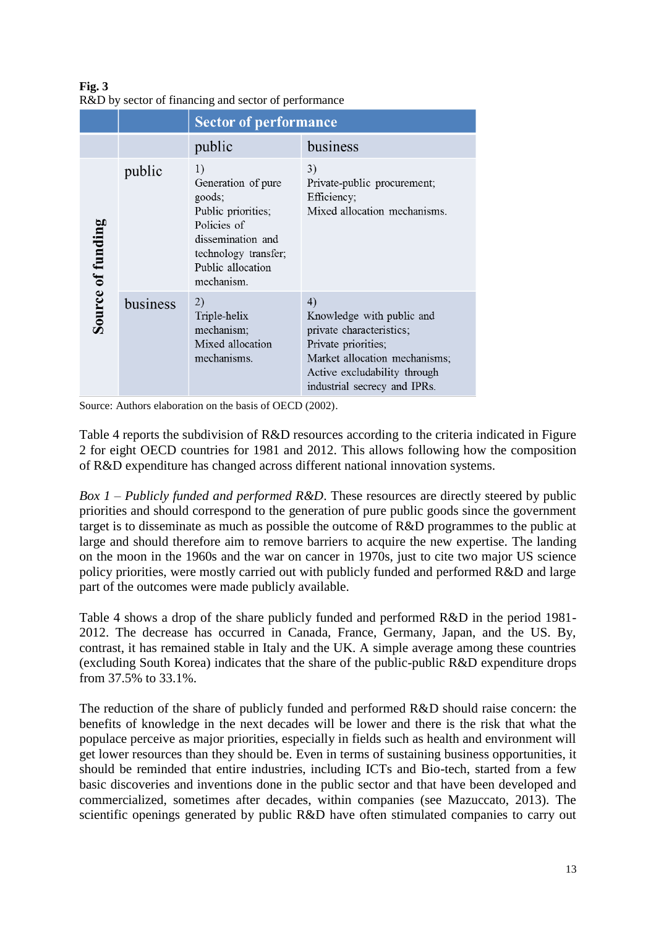**Fig. 3** R&D by sector of financing and sector of performance

|                          |          | <b>Sector of performance</b>                                                                                                                            |                                                                                                                                                                                     |  |  |
|--------------------------|----------|---------------------------------------------------------------------------------------------------------------------------------------------------------|-------------------------------------------------------------------------------------------------------------------------------------------------------------------------------------|--|--|
|                          |          | public                                                                                                                                                  | business                                                                                                                                                                            |  |  |
| <b>Source of funding</b> | public   | 1)<br>Generation of pure<br>goods;<br>Public priorities;<br>Policies of<br>dissemination and<br>technology transfer;<br>Public allocation<br>mechanism. | 3)<br>Private-public procurement;<br>Efficiency;<br>Mixed allocation mechanisms.                                                                                                    |  |  |
|                          | business | 2)<br>Triple-helix<br>mechanism;<br>Mixed allocation<br>mechanisms.                                                                                     | 4)<br>Knowledge with public and<br>private characteristics;<br>Private priorities;<br>Market allocation mechanisms;<br>Active excludability through<br>industrial secrecy and IPRs. |  |  |

Source: Authors elaboration on the basis of OECD (2002).

Table 4 reports the subdivision of R&D resources according to the criteria indicated in Figure 2 for eight OECD countries for 1981 and 2012. This allows following how the composition of R&D expenditure has changed across different national innovation systems.

*Box 1 – Publicly funded and performed R&D*. These resources are directly steered by public priorities and should correspond to the generation of pure public goods since the government target is to disseminate as much as possible the outcome of R&D programmes to the public at large and should therefore aim to remove barriers to acquire the new expertise. The landing on the moon in the 1960s and the war on cancer in 1970s, just to cite two major US science policy priorities, were mostly carried out with publicly funded and performed R&D and large part of the outcomes were made publicly available.

Table 4 shows a drop of the share publicly funded and performed R&D in the period 1981- 2012. The decrease has occurred in Canada, France, Germany, Japan, and the US. By, contrast, it has remained stable in Italy and the UK. A simple average among these countries (excluding South Korea) indicates that the share of the public-public R&D expenditure drops from 37.5% to 33.1%.

The reduction of the share of publicly funded and performed R&D should raise concern: the benefits of knowledge in the next decades will be lower and there is the risk that what the populace perceive as major priorities, especially in fields such as health and environment will get lower resources than they should be. Even in terms of sustaining business opportunities, it should be reminded that entire industries, including ICTs and Bio-tech, started from a few basic discoveries and inventions done in the public sector and that have been developed and commercialized, sometimes after decades, within companies (see Mazuccato, 2013). The scientific openings generated by public R&D have often stimulated companies to carry out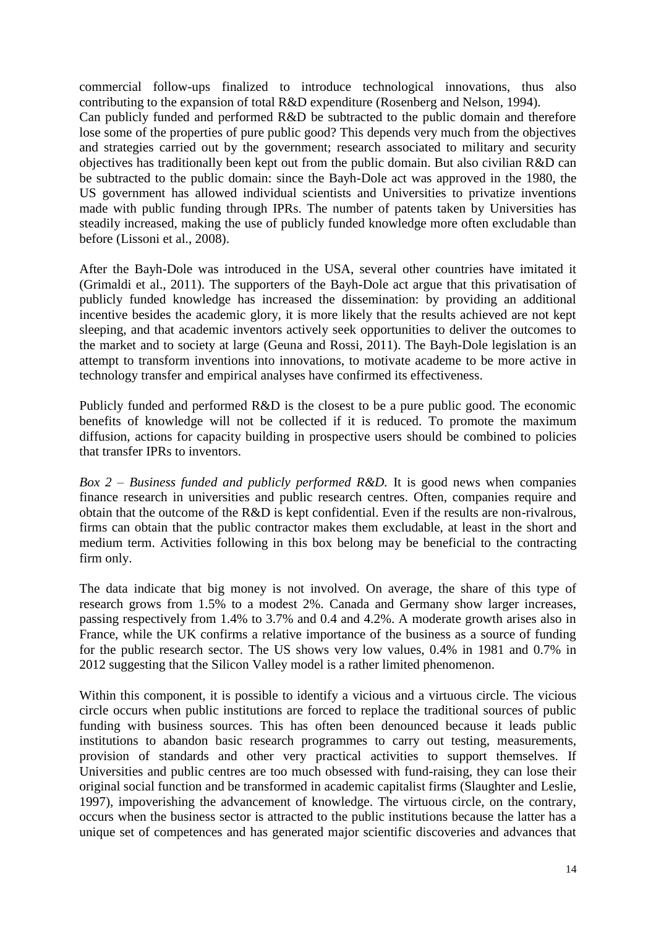commercial follow-ups finalized to introduce technological innovations, thus also contributing to the expansion of total R&D expenditure (Rosenberg and Nelson, 1994). Can publicly funded and performed R&D be subtracted to the public domain and therefore lose some of the properties of pure public good? This depends very much from the objectives and strategies carried out by the government; research associated to military and security objectives has traditionally been kept out from the public domain. But also civilian R&D can be subtracted to the public domain: since the Bayh-Dole act was approved in the 1980, the US government has allowed individual scientists and Universities to privatize inventions made with public funding through IPRs. The number of patents taken by Universities has steadily increased, making the use of publicly funded knowledge more often excludable than before (Lissoni et al., 2008).

After the Bayh-Dole was introduced in the USA, several other countries have imitated it (Grimaldi et al., 2011). The supporters of the Bayh-Dole act argue that this privatisation of publicly funded knowledge has increased the dissemination: by providing an additional incentive besides the academic glory, it is more likely that the results achieved are not kept sleeping, and that academic inventors actively seek opportunities to deliver the outcomes to the market and to society at large (Geuna and Rossi, 2011). The Bayh-Dole legislation is an attempt to transform inventions into innovations, to motivate academe to be more active in technology transfer and empirical analyses have confirmed its effectiveness.

Publicly funded and performed R&D is the closest to be a pure public good. The economic benefits of knowledge will not be collected if it is reduced. To promote the maximum diffusion, actions for capacity building in prospective users should be combined to policies that transfer IPRs to inventors.

*Box 2 – Business funded and publicly performed R&D.* It is good news when companies finance research in universities and public research centres. Often, companies require and obtain that the outcome of the R&D is kept confidential. Even if the results are non-rivalrous, firms can obtain that the public contractor makes them excludable, at least in the short and medium term. Activities following in this box belong may be beneficial to the contracting firm only.

The data indicate that big money is not involved. On average, the share of this type of research grows from 1.5% to a modest 2%. Canada and Germany show larger increases, passing respectively from 1.4% to 3.7% and 0.4 and 4.2%. A moderate growth arises also in France, while the UK confirms a relative importance of the business as a source of funding for the public research sector. The US shows very low values, 0.4% in 1981 and 0.7% in 2012 suggesting that the Silicon Valley model is a rather limited phenomenon.

Within this component, it is possible to identify a vicious and a virtuous circle. The vicious circle occurs when public institutions are forced to replace the traditional sources of public funding with business sources. This has often been denounced because it leads public institutions to abandon basic research programmes to carry out testing, measurements, provision of standards and other very practical activities to support themselves. If Universities and public centres are too much obsessed with fund-raising, they can lose their original social function and be transformed in academic capitalist firms (Slaughter and Leslie, 1997), impoverishing the advancement of knowledge. The virtuous circle, on the contrary, occurs when the business sector is attracted to the public institutions because the latter has a unique set of competences and has generated major scientific discoveries and advances that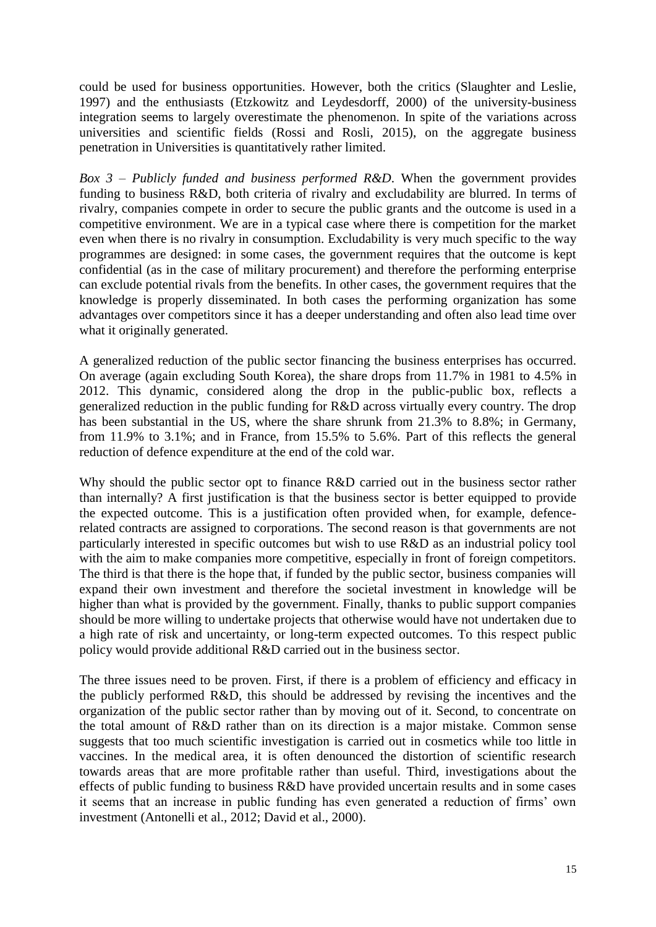could be used for business opportunities. However, both the critics (Slaughter and Leslie, 1997) and the enthusiasts (Etzkowitz and Leydesdorff, 2000) of the university-business integration seems to largely overestimate the phenomenon. In spite of the variations across universities and scientific fields (Rossi and Rosli, 2015), on the aggregate business penetration in Universities is quantitatively rather limited.

*Box 3 – Publicly funded and business performed R&D*. When the government provides funding to business R&D, both criteria of rivalry and excludability are blurred. In terms of rivalry, companies compete in order to secure the public grants and the outcome is used in a competitive environment. We are in a typical case where there is competition for the market even when there is no rivalry in consumption. Excludability is very much specific to the way programmes are designed: in some cases, the government requires that the outcome is kept confidential (as in the case of military procurement) and therefore the performing enterprise can exclude potential rivals from the benefits. In other cases, the government requires that the knowledge is properly disseminated. In both cases the performing organization has some advantages over competitors since it has a deeper understanding and often also lead time over what it originally generated.

A generalized reduction of the public sector financing the business enterprises has occurred. On average (again excluding South Korea), the share drops from 11.7% in 1981 to 4.5% in 2012. This dynamic, considered along the drop in the public-public box, reflects a generalized reduction in the public funding for R&D across virtually every country. The drop has been substantial in the US, where the share shrunk from 21.3% to 8.8%; in Germany, from 11.9% to 3.1%; and in France, from 15.5% to 5.6%. Part of this reflects the general reduction of defence expenditure at the end of the cold war.

Why should the public sector opt to finance R&D carried out in the business sector rather than internally? A first justification is that the business sector is better equipped to provide the expected outcome. This is a justification often provided when, for example, defencerelated contracts are assigned to corporations. The second reason is that governments are not particularly interested in specific outcomes but wish to use R&D as an industrial policy tool with the aim to make companies more competitive, especially in front of foreign competitors. The third is that there is the hope that, if funded by the public sector, business companies will expand their own investment and therefore the societal investment in knowledge will be higher than what is provided by the government. Finally, thanks to public support companies should be more willing to undertake projects that otherwise would have not undertaken due to a high rate of risk and uncertainty, or long-term expected outcomes. To this respect public policy would provide additional R&D carried out in the business sector.

The three issues need to be proven. First, if there is a problem of efficiency and efficacy in the publicly performed R&D, this should be addressed by revising the incentives and the organization of the public sector rather than by moving out of it. Second, to concentrate on the total amount of R&D rather than on its direction is a major mistake. Common sense suggests that too much scientific investigation is carried out in cosmetics while too little in vaccines. In the medical area, it is often denounced the distortion of scientific research towards areas that are more profitable rather than useful. Third, investigations about the effects of public funding to business R&D have provided uncertain results and in some cases it seems that an increase in public funding has even generated a reduction of firms' own investment (Antonelli et al., 2012; David et al., 2000).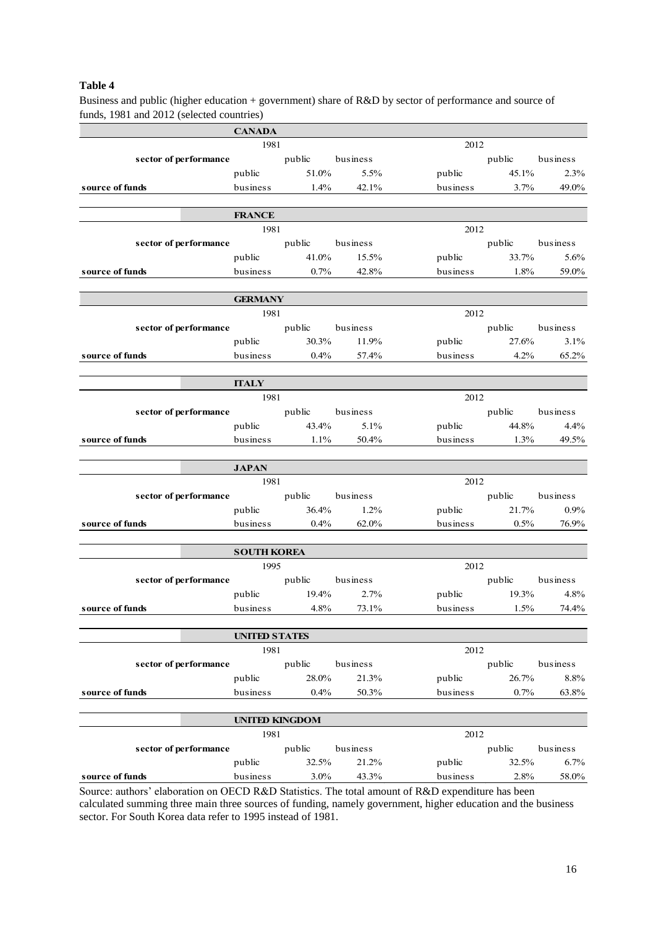### **Table 4**

Business and public (higher education + government) share of R&D by sector of performance and source of funds, 1981 and 2012 (selected countries)

|                                                                                                                                                  | <b>CANADA</b>         |                     |          |          |                   |          |  |  |
|--------------------------------------------------------------------------------------------------------------------------------------------------|-----------------------|---------------------|----------|----------|-------------------|----------|--|--|
|                                                                                                                                                  | 1981                  |                     |          |          | 2012              |          |  |  |
| sector of performance                                                                                                                            |                       | public business     |          |          | public business   |          |  |  |
|                                                                                                                                                  |                       | public 51.0% 5.5%   |          |          | public 45.1%      | 2.3%     |  |  |
| source of funds                                                                                                                                  |                       | business 1.4% 42.1% |          | business | $3.7\%$           | 49.0%    |  |  |
|                                                                                                                                                  |                       |                     |          |          |                   |          |  |  |
|                                                                                                                                                  | <b>FRANCE</b>         |                     |          |          |                   |          |  |  |
|                                                                                                                                                  | 1981                  |                     |          | 2012     |                   |          |  |  |
| sector of performance                                                                                                                            |                       | public business     |          |          | public business   |          |  |  |
|                                                                                                                                                  |                       | public 41.0% 15.5%  |          |          | public 33.7%      | 5.6%     |  |  |
| source of funds                                                                                                                                  |                       | business $0.7\%$    | 42.8%    |          | business 1.8%     | 59.0%    |  |  |
|                                                                                                                                                  | <b>GERMANY</b>        |                     |          |          |                   |          |  |  |
|                                                                                                                                                  | 1981                  |                     |          | 2012     |                   |          |  |  |
| sector of performance                                                                                                                            |                       | public business     |          |          | public business   |          |  |  |
|                                                                                                                                                  |                       | public 30.3% 11.9%  |          |          | public 27.6%      | 3.1%     |  |  |
| source of funds                                                                                                                                  |                       | business $0.4\%$    | 57.4%    | business | $4.2\%$           | 65.2%    |  |  |
|                                                                                                                                                  |                       |                     |          |          |                   |          |  |  |
|                                                                                                                                                  | <b>ITALY</b>          |                     |          |          |                   |          |  |  |
|                                                                                                                                                  | 1981                  |                     |          | 2012     |                   |          |  |  |
| sector of performance public business                                                                                                            |                       |                     |          |          | public business   |          |  |  |
|                                                                                                                                                  |                       | public 43.4% 5.1%   |          |          | public 44.8% 4.4% |          |  |  |
| source of funds                                                                                                                                  |                       | business 1.1% 50.4% |          |          | business $1.3\%$  | 49.5%    |  |  |
|                                                                                                                                                  |                       |                     |          |          |                   |          |  |  |
|                                                                                                                                                  | <b>JAPAN</b><br>1981  |                     |          | 2012     |                   |          |  |  |
| sector of performance public business                                                                                                            |                       |                     |          |          | public business   |          |  |  |
|                                                                                                                                                  |                       | public 36.4% 1.2%   |          |          | public 21.7%      | $0.9\%$  |  |  |
| source of funds                                                                                                                                  |                       | business $0.4\%$    | 62.0%    |          | business $0.5\%$  | 76.9%    |  |  |
|                                                                                                                                                  |                       |                     |          |          |                   |          |  |  |
|                                                                                                                                                  | <b>SOUTH KOREA</b>    |                     |          |          |                   |          |  |  |
|                                                                                                                                                  | 1995                  |                     |          | 2012     |                   |          |  |  |
| sector of performance public business                                                                                                            |                       |                     |          |          | public business   |          |  |  |
|                                                                                                                                                  |                       | public 19.4% 2.7%   |          |          | public 19.3% 4.8% |          |  |  |
| source of funds                                                                                                                                  | business              | 4.8%                | 73.1%    | business | 1.5%              | 74.4%    |  |  |
|                                                                                                                                                  |                       |                     |          |          |                   |          |  |  |
|                                                                                                                                                  | <b>UNITED STATES</b>  |                     |          |          |                   |          |  |  |
|                                                                                                                                                  | 1981                  |                     |          | 2012     |                   |          |  |  |
| sector of performance                                                                                                                            |                       | public              | business |          | public            | business |  |  |
|                                                                                                                                                  | public                | 28.0%               | 21.3%    | public   | 26.7%             | 8.8%     |  |  |
| source of funds                                                                                                                                  | business              | 0.4%                | 50.3%    | business | 0.7%              | 63.8%    |  |  |
|                                                                                                                                                  | <b>UNITED KINGDOM</b> |                     |          |          |                   |          |  |  |
|                                                                                                                                                  | 1981                  |                     |          | 2012     |                   |          |  |  |
| sector of performance                                                                                                                            |                       | public              | business |          | public            | business |  |  |
|                                                                                                                                                  | public                | 32.5%               | 21.2%    | public   | 32.5%             | 6.7%     |  |  |
| source of funds                                                                                                                                  | business              | $3.0\%$             | 43.3%    | business | 2.8%              | 58.0%    |  |  |
| $\mathbf{R}_{\text{E}}$ alghoration on OECD $\mathbf{R}_{\text{E}}$ Statistics. The total amount of $\mathbf{R}_{\text{E}}$ averagative has been |                       |                     |          |          |                   |          |  |  |

Source: authors' elaboration on OECD R&D Statistics. The total amount of R&D expenditure has been calculated summing three main three sources of funding, namely government, higher education and the business sector. For South Korea data refer to 1995 instead of 1981.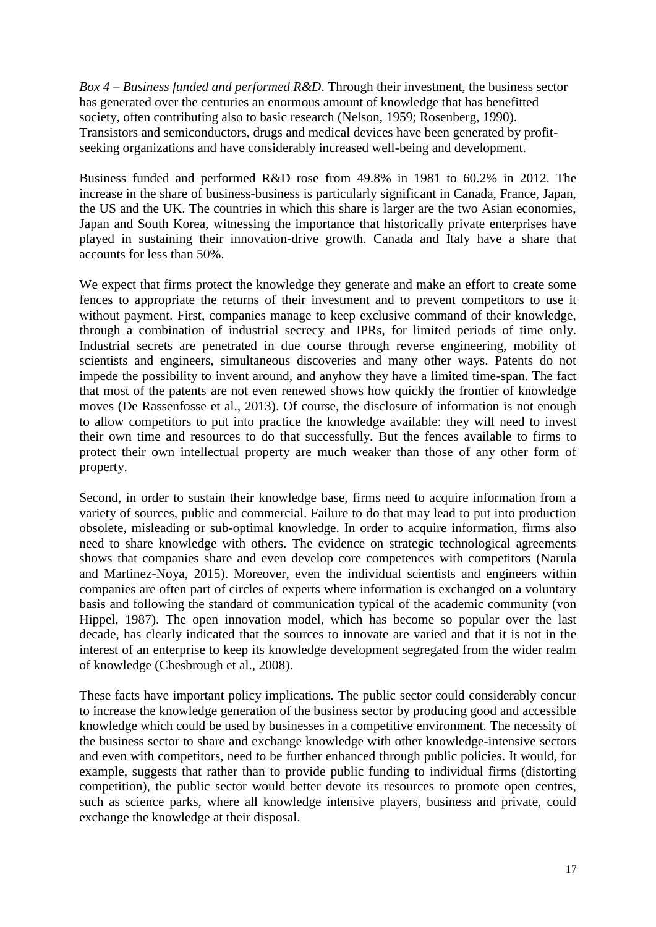*Box 4 – Business funded and performed R&D*. Through their investment, the business sector has generated over the centuries an enormous amount of knowledge that has benefitted society, often contributing also to basic research (Nelson, 1959; Rosenberg, 1990). Transistors and semiconductors, drugs and medical devices have been generated by profitseeking organizations and have considerably increased well-being and development.

Business funded and performed R&D rose from 49.8% in 1981 to 60.2% in 2012. The increase in the share of business-business is particularly significant in Canada, France, Japan, the US and the UK. The countries in which this share is larger are the two Asian economies, Japan and South Korea, witnessing the importance that historically private enterprises have played in sustaining their innovation-drive growth. Canada and Italy have a share that accounts for less than 50%.

We expect that firms protect the knowledge they generate and make an effort to create some fences to appropriate the returns of their investment and to prevent competitors to use it without payment. First, companies manage to keep exclusive command of their knowledge, through a combination of industrial secrecy and IPRs, for limited periods of time only. Industrial secrets are penetrated in due course through reverse engineering, mobility of scientists and engineers, simultaneous discoveries and many other ways. Patents do not impede the possibility to invent around, and anyhow they have a limited time-span. The fact that most of the patents are not even renewed shows how quickly the frontier of knowledge moves (De Rassenfosse et al., 2013). Of course, the disclosure of information is not enough to allow competitors to put into practice the knowledge available: they will need to invest their own time and resources to do that successfully. But the fences available to firms to protect their own intellectual property are much weaker than those of any other form of property.

Second, in order to sustain their knowledge base, firms need to acquire information from a variety of sources, public and commercial. Failure to do that may lead to put into production obsolete, misleading or sub-optimal knowledge. In order to acquire information, firms also need to share knowledge with others. The evidence on strategic technological agreements shows that companies share and even develop core competences with competitors (Narula and Martinez-Noya, 2015). Moreover, even the individual scientists and engineers within companies are often part of circles of experts where information is exchanged on a voluntary basis and following the standard of communication typical of the academic community (von Hippel, 1987). The open innovation model, which has become so popular over the last decade, has clearly indicated that the sources to innovate are varied and that it is not in the interest of an enterprise to keep its knowledge development segregated from the wider realm of knowledge (Chesbrough et al., 2008).

These facts have important policy implications. The public sector could considerably concur to increase the knowledge generation of the business sector by producing good and accessible knowledge which could be used by businesses in a competitive environment. The necessity of the business sector to share and exchange knowledge with other knowledge-intensive sectors and even with competitors, need to be further enhanced through public policies. It would, for example, suggests that rather than to provide public funding to individual firms (distorting competition), the public sector would better devote its resources to promote open centres, such as science parks, where all knowledge intensive players, business and private, could exchange the knowledge at their disposal.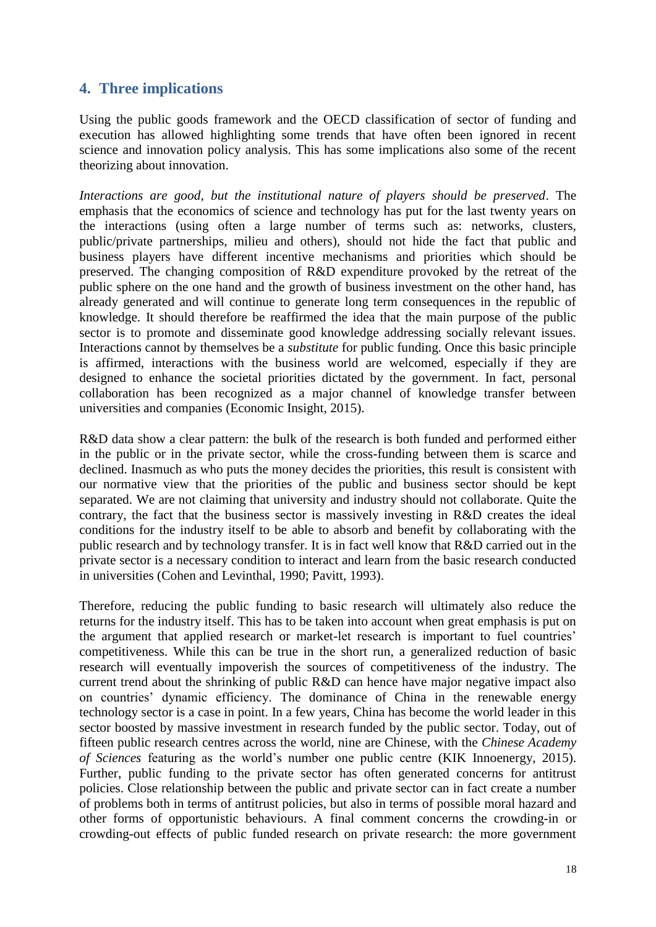# **4. Three implications**

Using the public goods framework and the OECD classification of sector of funding and execution has allowed highlighting some trends that have often been ignored in recent science and innovation policy analysis. This has some implications also some of the recent theorizing about innovation.

*Interactions are good, but the institutional nature of players should be preserved*. The emphasis that the economics of science and technology has put for the last twenty years on the interactions (using often a large number of terms such as: networks, clusters, public/private partnerships, milieu and others), should not hide the fact that public and business players have different incentive mechanisms and priorities which should be preserved. The changing composition of R&D expenditure provoked by the retreat of the public sphere on the one hand and the growth of business investment on the other hand, has already generated and will continue to generate long term consequences in the republic of knowledge. It should therefore be reaffirmed the idea that the main purpose of the public sector is to promote and disseminate good knowledge addressing socially relevant issues. Interactions cannot by themselves be a *substitute* for public funding. Once this basic principle is affirmed, interactions with the business world are welcomed, especially if they are designed to enhance the societal priorities dictated by the government. In fact, personal collaboration has been recognized as a major channel of knowledge transfer between universities and companies (Economic Insight, 2015).

R&D data show a clear pattern: the bulk of the research is both funded and performed either in the public or in the private sector, while the cross-funding between them is scarce and declined. Inasmuch as who puts the money decides the priorities, this result is consistent with our normative view that the priorities of the public and business sector should be kept separated. We are not claiming that university and industry should not collaborate. Quite the contrary, the fact that the business sector is massively investing in R&D creates the ideal conditions for the industry itself to be able to absorb and benefit by collaborating with the public research and by technology transfer. It is in fact well know that R&D carried out in the private sector is a necessary condition to interact and learn from the basic research conducted in universities (Cohen and Levinthal, 1990; Pavitt, 1993).

Therefore, reducing the public funding to basic research will ultimately also reduce the returns for the industry itself. This has to be taken into account when great emphasis is put on the argument that applied research or market-let research is important to fuel countries' competitiveness. While this can be true in the short run, a generalized reduction of basic research will eventually impoverish the sources of competitiveness of the industry. The current trend about the shrinking of public R&D can hence have major negative impact also on countries' dynamic efficiency. The dominance of China in the renewable energy technology sector is a case in point. In a few years, China has become the world leader in this sector boosted by massive investment in research funded by the public sector. Today, out of fifteen public research centres across the world, nine are Chinese, with the *Chinese Academy of Sciences* featuring as the world's number one public centre (KIK Innoenergy, 2015). Further, public funding to the private sector has often generated concerns for antitrust policies. Close relationship between the public and private sector can in fact create a number of problems both in terms of antitrust policies, but also in terms of possible moral hazard and other forms of opportunistic behaviours. A final comment concerns the crowding-in or crowding-out effects of public funded research on private research: the more government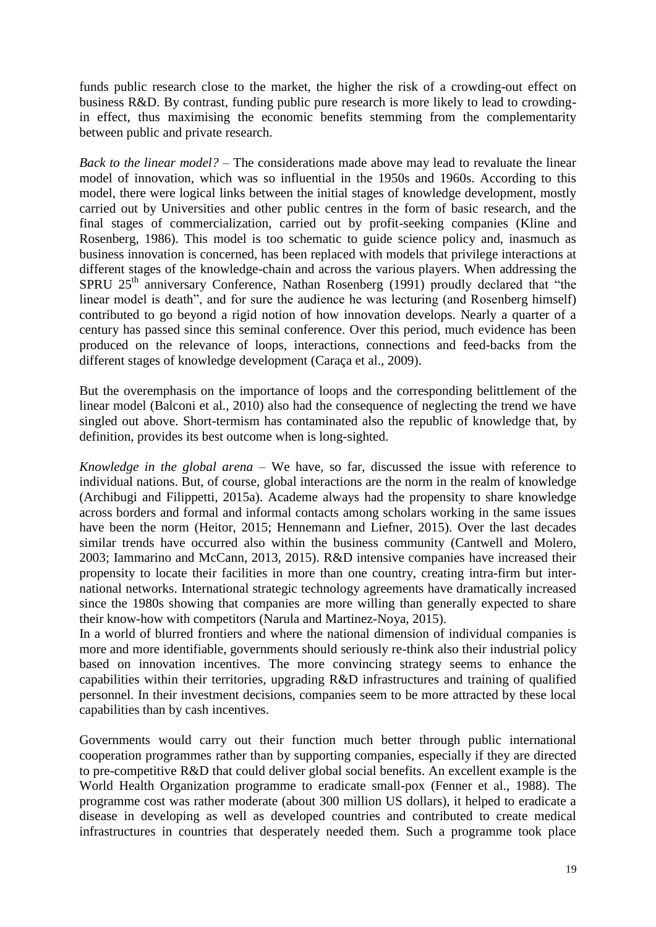funds public research close to the market, the higher the risk of a crowding-out effect on business R&D. By contrast, funding public pure research is more likely to lead to crowdingin effect, thus maximising the economic benefits stemming from the complementarity between public and private research.

*Back to the linear model?* – The considerations made above may lead to revaluate the linear model of innovation, which was so influential in the 1950s and 1960s. According to this model, there were logical links between the initial stages of knowledge development, mostly carried out by Universities and other public centres in the form of basic research, and the final stages of commercialization, carried out by profit-seeking companies (Kline and Rosenberg, 1986). This model is too schematic to guide science policy and, inasmuch as business innovation is concerned, has been replaced with models that privilege interactions at different stages of the knowledge-chain and across the various players. When addressing the SPRU  $25<sup>th</sup>$  anniversary Conference, Nathan Rosenberg (1991) proudly declared that "the linear model is death", and for sure the audience he was lecturing (and Rosenberg himself) contributed to go beyond a rigid notion of how innovation develops. Nearly a quarter of a century has passed since this seminal conference. Over this period, much evidence has been produced on the relevance of loops, interactions, connections and feed-backs from the different stages of knowledge development (Caraça et al., 2009).

But the overemphasis on the importance of loops and the corresponding belittlement of the linear model (Balconi et al., 2010) also had the consequence of neglecting the trend we have singled out above. Short-termism has contaminated also the republic of knowledge that, by definition, provides its best outcome when is long-sighted.

*Knowledge in the global arena* – We have, so far, discussed the issue with reference to individual nations. But, of course, global interactions are the norm in the realm of knowledge (Archibugi and Filippetti, 2015a). Academe always had the propensity to share knowledge across borders and formal and informal contacts among scholars working in the same issues have been the norm (Heitor, 2015; Hennemann and Liefner, 2015). Over the last decades similar trends have occurred also within the business community (Cantwell and Molero, 2003; Iammarino and McCann, 2013, 2015). R&D intensive companies have increased their propensity to locate their facilities in more than one country, creating intra-firm but international networks. International strategic technology agreements have dramatically increased since the 1980s showing that companies are more willing than generally expected to share their know-how with competitors (Narula and Martinez-Noya, 2015).

In a world of blurred frontiers and where the national dimension of individual companies is more and more identifiable, governments should seriously re-think also their industrial policy based on innovation incentives. The more convincing strategy seems to enhance the capabilities within their territories, upgrading R&D infrastructures and training of qualified personnel. In their investment decisions, companies seem to be more attracted by these local capabilities than by cash incentives.

Governments would carry out their function much better through public international cooperation programmes rather than by supporting companies, especially if they are directed to pre-competitive R&D that could deliver global social benefits. An excellent example is the World Health Organization programme to eradicate small-pox (Fenner et al., 1988). The programme cost was rather moderate (about 300 million US dollars), it helped to eradicate a disease in developing as well as developed countries and contributed to create medical infrastructures in countries that desperately needed them. Such a programme took place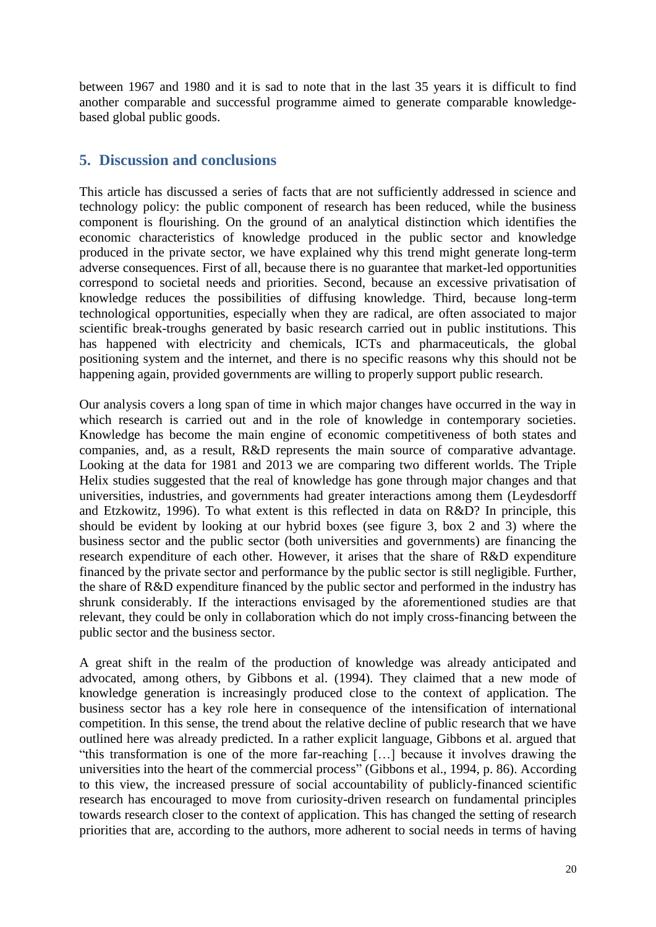between 1967 and 1980 and it is sad to note that in the last 35 years it is difficult to find another comparable and successful programme aimed to generate comparable knowledgebased global public goods.

# **5. Discussion and conclusions**

This article has discussed a series of facts that are not sufficiently addressed in science and technology policy: the public component of research has been reduced, while the business component is flourishing. On the ground of an analytical distinction which identifies the economic characteristics of knowledge produced in the public sector and knowledge produced in the private sector, we have explained why this trend might generate long-term adverse consequences. First of all, because there is no guarantee that market-led opportunities correspond to societal needs and priorities. Second, because an excessive privatisation of knowledge reduces the possibilities of diffusing knowledge. Third, because long-term technological opportunities, especially when they are radical, are often associated to major scientific break-troughs generated by basic research carried out in public institutions. This has happened with electricity and chemicals, ICTs and pharmaceuticals, the global positioning system and the internet, and there is no specific reasons why this should not be happening again, provided governments are willing to properly support public research.

Our analysis covers a long span of time in which major changes have occurred in the way in which research is carried out and in the role of knowledge in contemporary societies. Knowledge has become the main engine of economic competitiveness of both states and companies, and, as a result, R&D represents the main source of comparative advantage. Looking at the data for 1981 and 2013 we are comparing two different worlds. The Triple Helix studies suggested that the real of knowledge has gone through major changes and that universities, industries, and governments had greater interactions among them (Leydesdorff and Etzkowitz, 1996). To what extent is this reflected in data on R&D? In principle, this should be evident by looking at our hybrid boxes (see figure 3, box 2 and 3) where the business sector and the public sector (both universities and governments) are financing the research expenditure of each other. However, it arises that the share of R&D expenditure financed by the private sector and performance by the public sector is still negligible. Further, the share of R&D expenditure financed by the public sector and performed in the industry has shrunk considerably. If the interactions envisaged by the aforementioned studies are that relevant, they could be only in collaboration which do not imply cross-financing between the public sector and the business sector.

A great shift in the realm of the production of knowledge was already anticipated and advocated, among others, by Gibbons et al. (1994). They claimed that a new mode of knowledge generation is increasingly produced close to the context of application. The business sector has a key role here in consequence of the intensification of international competition. In this sense, the trend about the relative decline of public research that we have outlined here was already predicted. In a rather explicit language, Gibbons et al. argued that "this transformation is one of the more far-reaching […] because it involves drawing the universities into the heart of the commercial process" (Gibbons et al., 1994, p. 86). According to this view, the increased pressure of social accountability of publicly-financed scientific research has encouraged to move from curiosity-driven research on fundamental principles towards research closer to the context of application. This has changed the setting of research priorities that are, according to the authors, more adherent to social needs in terms of having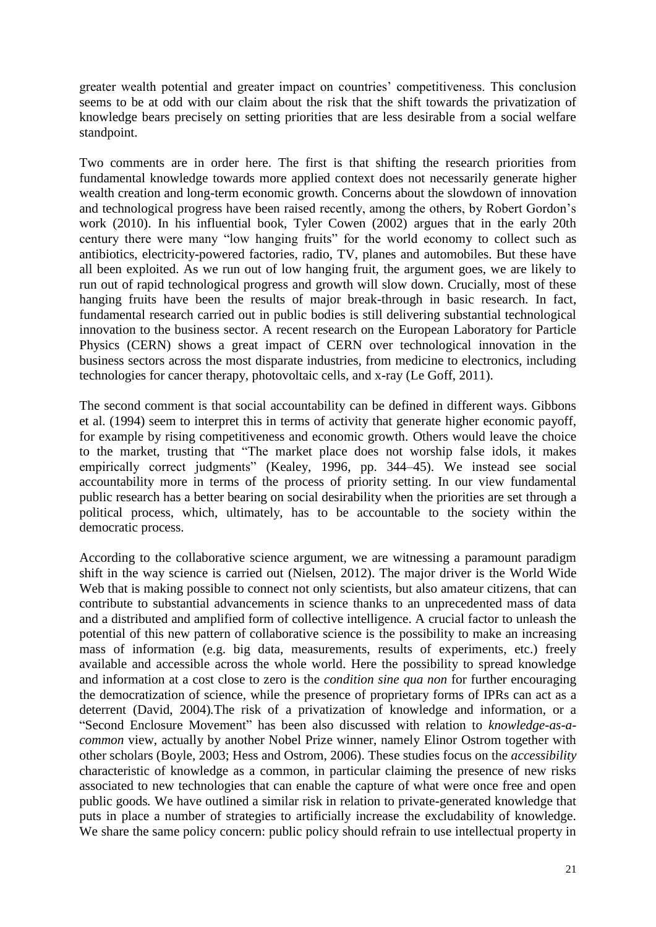greater wealth potential and greater impact on countries' competitiveness. This conclusion seems to be at odd with our claim about the risk that the shift towards the privatization of knowledge bears precisely on setting priorities that are less desirable from a social welfare standpoint.

Two comments are in order here. The first is that shifting the research priorities from fundamental knowledge towards more applied context does not necessarily generate higher wealth creation and long-term economic growth. Concerns about the slowdown of innovation and technological progress have been raised recently, among the others, by Robert Gordon's work (2010). In his influential book, Tyler Cowen (2002) argues that in the early 20th century there were many "low hanging fruits" for the world economy to collect such as antibiotics, electricity-powered factories, radio, TV, planes and automobiles. But these have all been exploited. As we run out of low hanging fruit, the argument goes, we are likely to run out of rapid technological progress and growth will slow down. Crucially, most of these hanging fruits have been the results of major break-through in basic research. In fact, fundamental research carried out in public bodies is still delivering substantial technological innovation to the business sector. A recent research on the European Laboratory for Particle Physics (CERN) shows a great impact of CERN over technological innovation in the business sectors across the most disparate industries, from medicine to electronics, including technologies for cancer therapy, photovoltaic cells, and x-ray (Le Goff, 2011).

The second comment is that social accountability can be defined in different ways. Gibbons et al. (1994) seem to interpret this in terms of activity that generate higher economic payoff, for example by rising competitiveness and economic growth. Others would leave the choice to the market, trusting that "The market place does not worship false idols, it makes empirically correct judgments" (Kealey, 1996, pp. 344–45). We instead see social accountability more in terms of the process of priority setting. In our view fundamental public research has a better bearing on social desirability when the priorities are set through a political process, which, ultimately, has to be accountable to the society within the democratic process.

According to the collaborative science argument, we are witnessing a paramount paradigm shift in the way science is carried out (Nielsen, 2012). The major driver is the World Wide Web that is making possible to connect not only scientists, but also amateur citizens, that can contribute to substantial advancements in science thanks to an unprecedented mass of data and a distributed and amplified form of collective intelligence. A crucial factor to unleash the potential of this new pattern of collaborative science is the possibility to make an increasing mass of information (e.g. big data, measurements, results of experiments, etc.) freely available and accessible across the whole world. Here the possibility to spread knowledge and information at a cost close to zero is the *condition sine qua non* for further encouraging the democratization of science, while the presence of proprietary forms of IPRs can act as a deterrent (David, 2004)*.*The risk of a privatization of knowledge and information, or a "Second Enclosure Movement" has been also discussed with relation to *knowledge-as-acommon* view, actually by another Nobel Prize winner, namely Elinor Ostrom together with other scholars (Boyle, 2003; Hess and Ostrom, 2006). These studies focus on the *accessibility*  characteristic of knowledge as a common, in particular claiming the presence of new risks associated to new technologies that can enable the capture of what were once free and open public goods*.* We have outlined a similar risk in relation to private-generated knowledge that puts in place a number of strategies to artificially increase the excludability of knowledge. We share the same policy concern: public policy should refrain to use intellectual property in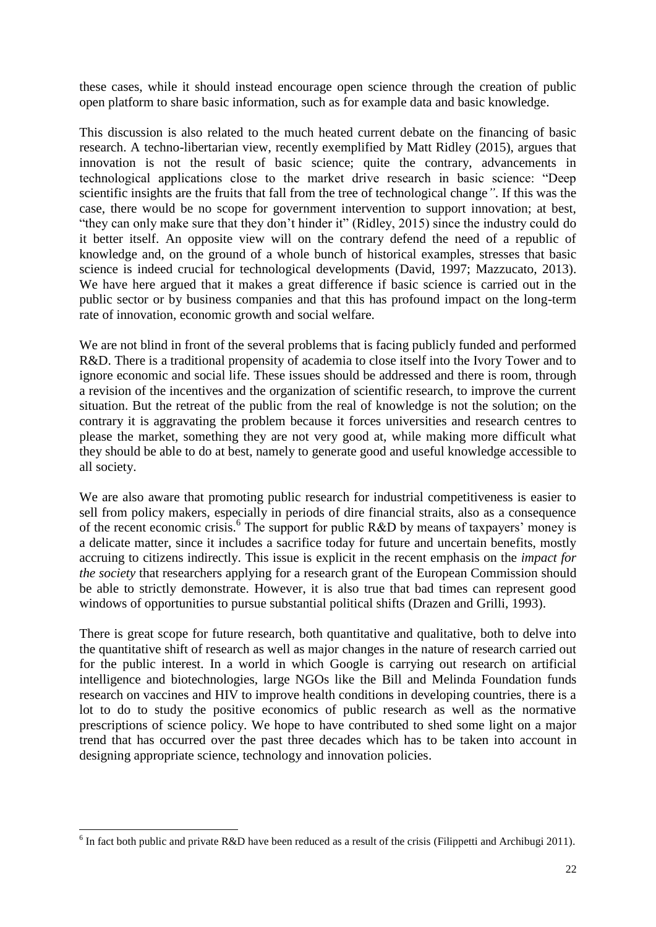these cases, while it should instead encourage open science through the creation of public open platform to share basic information, such as for example data and basic knowledge.

This discussion is also related to the much heated current debate on the financing of basic research. A techno-libertarian view, recently exemplified by Matt Ridley (2015), argues that innovation is not the result of basic science; quite the contrary, advancements in technological applications close to the market drive research in basic science: "Deep scientific insights are the fruits that fall from the tree of technological change*"*. If this was the case, there would be no scope for government intervention to support innovation; at best, "they can only make sure that they don't hinder it" (Ridley, 2015) since the industry could do it better itself. An opposite view will on the contrary defend the need of a republic of knowledge and, on the ground of a whole bunch of historical examples, stresses that basic science is indeed crucial for technological developments (David, 1997; Mazzucato, 2013). We have here argued that it makes a great difference if basic science is carried out in the public sector or by business companies and that this has profound impact on the long-term rate of innovation, economic growth and social welfare.

We are not blind in front of the several problems that is facing publicly funded and performed R&D. There is a traditional propensity of academia to close itself into the Ivory Tower and to ignore economic and social life. These issues should be addressed and there is room, through a revision of the incentives and the organization of scientific research, to improve the current situation. But the retreat of the public from the real of knowledge is not the solution; on the contrary it is aggravating the problem because it forces universities and research centres to please the market, something they are not very good at, while making more difficult what they should be able to do at best, namely to generate good and useful knowledge accessible to all society.

We are also aware that promoting public research for industrial competitiveness is easier to sell from policy makers, especially in periods of dire financial straits, also as a consequence of the recent economic crisis.<sup>6</sup> The support for public R&D by means of taxpayers' money is a delicate matter, since it includes a sacrifice today for future and uncertain benefits, mostly accruing to citizens indirectly. This issue is explicit in the recent emphasis on the *impact for the society* that researchers applying for a research grant of the European Commission should be able to strictly demonstrate. However, it is also true that bad times can represent good windows of opportunities to pursue substantial political shifts (Drazen and Grilli, 1993).

There is great scope for future research, both quantitative and qualitative, both to delve into the quantitative shift of research as well as major changes in the nature of research carried out for the public interest. In a world in which Google is carrying out research on artificial intelligence and biotechnologies, large NGOs like the Bill and Melinda Foundation funds research on vaccines and HIV to improve health conditions in developing countries, there is a lot to do to study the positive economics of public research as well as the normative prescriptions of science policy. We hope to have contributed to shed some light on a major trend that has occurred over the past three decades which has to be taken into account in designing appropriate science, technology and innovation policies.

 $\overline{a}$ 

<sup>&</sup>lt;sup>6</sup> In fact both public and private R&D have been reduced as a result of the crisis (Filippetti and Archibugi 2011).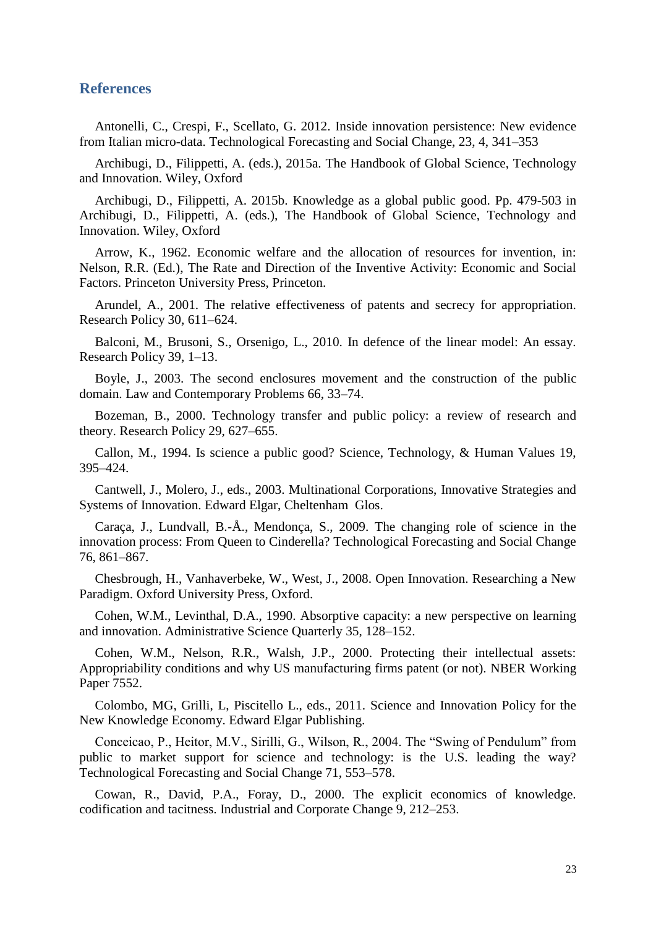### **References**

Antonelli, C., Crespi, F., Scellato, G. 2012. Inside innovation persistence: New evidence from Italian micro-data. Technological Forecasting and Social Change, 23, 4, 341–353

Archibugi, D., Filippetti, A. (eds.), 2015a. The Handbook of Global Science, Technology and Innovation. Wiley, Oxford

Archibugi, D., Filippetti, A. 2015b. Knowledge as a global public good. Pp. 479-503 in Archibugi, D., Filippetti, A. (eds.), The Handbook of Global Science, Technology and Innovation. Wiley, Oxford

Arrow, K., 1962. Economic welfare and the allocation of resources for invention, in: Nelson, R.R. (Ed.), The Rate and Direction of the Inventive Activity: Economic and Social Factors. Princeton University Press, Princeton.

Arundel, A., 2001. The relative effectiveness of patents and secrecy for appropriation. Research Policy 30, 611–624.

Balconi, M., Brusoni, S., Orsenigo, L., 2010. In defence of the linear model: An essay. Research Policy 39, 1–13.

Boyle, J., 2003. The second enclosures movement and the construction of the public domain. Law and Contemporary Problems 66, 33–74.

Bozeman, B., 2000. Technology transfer and public policy: a review of research and theory. Research Policy 29, 627–655.

Callon, M., 1994. Is science a public good? Science, Technology, & Human Values 19, 395–424.

Cantwell, J., Molero, J., eds., 2003. Multinational Corporations, Innovative Strategies and Systems of Innovation. Edward Elgar, Cheltenham Glos.

Caraça, J., Lundvall, B.-Å., Mendonça, S., 2009. The changing role of science in the innovation process: From Queen to Cinderella? Technological Forecasting and Social Change 76, 861–867.

Chesbrough, H., Vanhaverbeke, W., West, J., 2008. Open Innovation. Researching a New Paradigm. Oxford University Press, Oxford.

Cohen, W.M., Levinthal, D.A., 1990. Absorptive capacity: a new perspective on learning and innovation. Administrative Science Quarterly 35, 128–152.

Cohen, W.M., Nelson, R.R., Walsh, J.P., 2000. Protecting their intellectual assets: Appropriability conditions and why US manufacturing firms patent (or not). NBER Working Paper 7552.

Colombo, MG, Grilli, L, Piscitello L., eds., 2011. Science and Innovation Policy for the New Knowledge Economy. Edward Elgar Publishing.

Conceicao, P., Heitor, M.V., Sirilli, G., Wilson, R., 2004. The "Swing of Pendulum" from public to market support for science and technology: is the U.S. leading the way? Technological Forecasting and Social Change 71, 553–578.

Cowan, R., David, P.A., Foray, D., 2000. The explicit economics of knowledge. codification and tacitness. Industrial and Corporate Change 9, 212–253.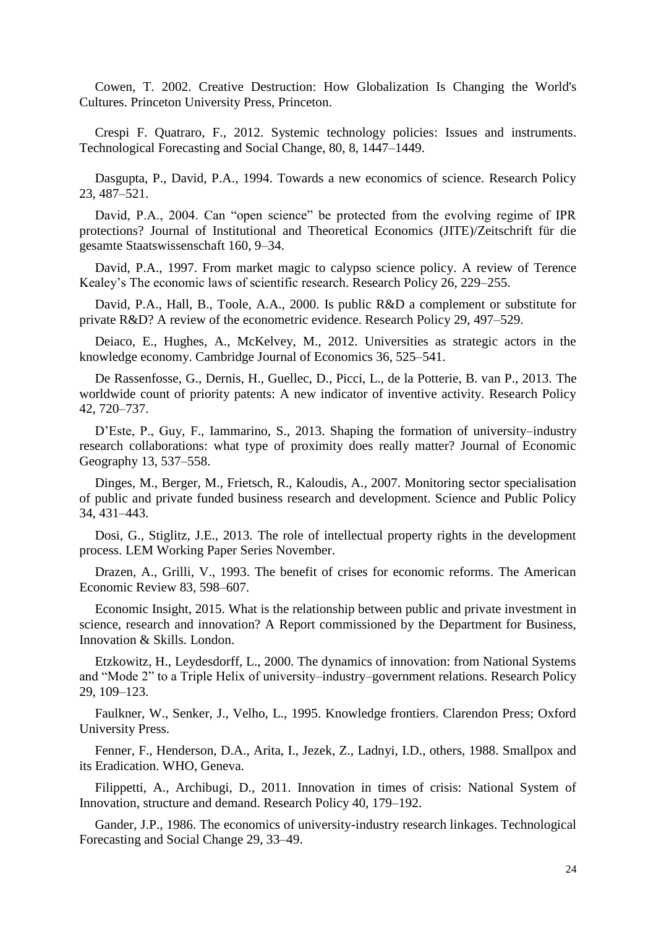Cowen, T. 2002. Creative Destruction: How Globalization Is Changing the World's Cultures. Princeton University Press, Princeton.

Crespi F. Quatraro, F., 2012. Systemic technology policies: Issues and instruments. Technological Forecasting and Social Change, 80, 8, 1447–1449.

Dasgupta, P., David, P.A., 1994. Towards a new economics of science. Research Policy 23, 487–521.

David, P.A., 2004. Can "open science" be protected from the evolving regime of IPR protections? Journal of Institutional and Theoretical Economics (JITE)/Zeitschrift für die gesamte Staatswissenschaft 160, 9–34.

David, P.A., 1997. From market magic to calypso science policy. A review of Terence Kealey's The economic laws of scientific research. Research Policy 26, 229–255.

David, P.A., Hall, B., Toole, A.A., 2000. Is public R&D a complement or substitute for private R&D? A review of the econometric evidence. Research Policy 29, 497–529.

Deiaco, E., Hughes, A., McKelvey, M., 2012. Universities as strategic actors in the knowledge economy. Cambridge Journal of Economics 36, 525–541.

De Rassenfosse, G., Dernis, H., Guellec, D., Picci, L., de la Potterie, B. van P., 2013. The worldwide count of priority patents: A new indicator of inventive activity. Research Policy 42, 720–737.

D'Este, P., Guy, F., Iammarino, S., 2013. Shaping the formation of university–industry research collaborations: what type of proximity does really matter? Journal of Economic Geography 13, 537–558.

Dinges, M., Berger, M., Frietsch, R., Kaloudis, A., 2007. Monitoring sector specialisation of public and private funded business research and development. Science and Public Policy 34, 431–443.

Dosi, G., Stiglitz, J.E., 2013. The role of intellectual property rights in the development process. LEM Working Paper Series November.

Drazen, A., Grilli, V., 1993. The benefit of crises for economic reforms. The American Economic Review 83, 598–607.

Economic Insight, 2015. What is the relationship between public and private investment in science, research and innovation? A Report commissioned by the Department for Business, Innovation & Skills. London.

Etzkowitz, H., Leydesdorff, L., 2000. The dynamics of innovation: from National Systems and "Mode 2" to a Triple Helix of university–industry–government relations. Research Policy 29, 109–123.

Faulkner, W., Senker, J., Velho, L., 1995. Knowledge frontiers. Clarendon Press; Oxford University Press.

Fenner, F., Henderson, D.A., Arita, I., Jezek, Z., Ladnyi, I.D., others, 1988. Smallpox and its Eradication. WHO, Geneva.

Filippetti, A., Archibugi, D., 2011. Innovation in times of crisis: National System of Innovation, structure and demand. Research Policy 40, 179–192.

Gander, J.P., 1986. The economics of university-industry research linkages. Technological Forecasting and Social Change 29, 33–49.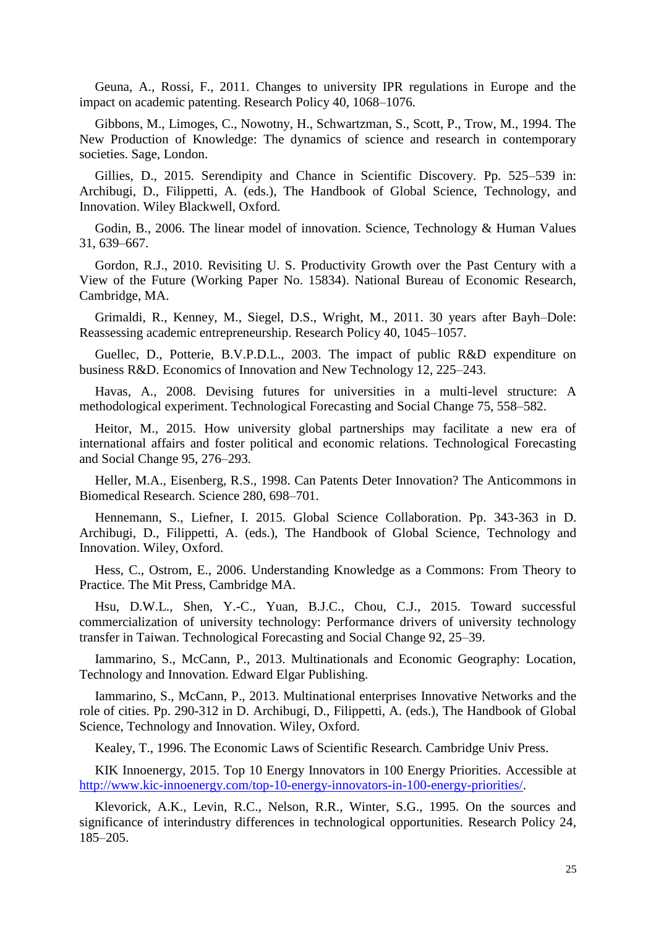Geuna, A., Rossi, F., 2011. Changes to university IPR regulations in Europe and the impact on academic patenting. Research Policy 40, 1068–1076.

Gibbons, M., Limoges, C., Nowotny, H., Schwartzman, S., Scott, P., Trow, M., 1994. The New Production of Knowledge: The dynamics of science and research in contemporary societies. Sage, London.

Gillies, D., 2015. Serendipity and Chance in Scientific Discovery. Pp. 525–539 in: Archibugi, D., Filippetti, A. (eds.), The Handbook of Global Science, Technology, and Innovation. Wiley Blackwell, Oxford.

Godin, B., 2006. The linear model of innovation. Science, Technology & Human Values 31, 639–667.

Gordon, R.J., 2010. Revisiting U. S. Productivity Growth over the Past Century with a View of the Future (Working Paper No. 15834). National Bureau of Economic Research, Cambridge, MA.

Grimaldi, R., Kenney, M., Siegel, D.S., Wright, M., 2011. 30 years after Bayh–Dole: Reassessing academic entrepreneurship. Research Policy 40, 1045–1057.

Guellec, D., Potterie, B.V.P.D.L., 2003. The impact of public R&D expenditure on business R&D. Economics of Innovation and New Technology 12, 225–243.

Havas, A., 2008. Devising futures for universities in a multi-level structure: A methodological experiment. Technological Forecasting and Social Change 75, 558–582.

Heitor, M., 2015. How university global partnerships may facilitate a new era of international affairs and foster political and economic relations. Technological Forecasting and Social Change 95, 276–293.

Heller, M.A., Eisenberg, R.S., 1998. Can Patents Deter Innovation? The Anticommons in Biomedical Research. Science 280, 698–701.

Hennemann, S., Liefner, I. 2015. Global Science Collaboration. Pp. 343-363 in D. Archibugi, D., Filippetti, A. (eds.), The Handbook of Global Science, Technology and Innovation. Wiley, Oxford.

Hess, C., Ostrom, E., 2006. Understanding Knowledge as a Commons: From Theory to Practice. The Mit Press, Cambridge MA.

Hsu, D.W.L., Shen, Y.-C., Yuan, B.J.C., Chou, C.J., 2015. Toward successful commercialization of university technology: Performance drivers of university technology transfer in Taiwan. Technological Forecasting and Social Change 92, 25–39.

Iammarino, S., McCann, P., 2013. Multinationals and Economic Geography: Location, Technology and Innovation. Edward Elgar Publishing.

Iammarino, S., McCann, P., 2013. Multinational enterprises Innovative Networks and the role of cities. Pp. 290-312 in D. Archibugi, D., Filippetti, A. (eds.), The Handbook of Global Science, Technology and Innovation. Wiley, Oxford.

Kealey, T., 1996. The Economic Laws of Scientific Research. Cambridge Univ Press.

KIK Innoenergy, 2015. Top 10 Energy Innovators in 100 Energy Priorities. Accessible at [http://www.kic-innoenergy.com/top-10-energy-innovators-in-100-energy-priorities/.](http://www.kic-innoenergy.com/top-10-energy-innovators-in-100-energy-priorities/)

Klevorick, A.K., Levin, R.C., Nelson, R.R., Winter, S.G., 1995. On the sources and significance of interindustry differences in technological opportunities. Research Policy 24, 185–205.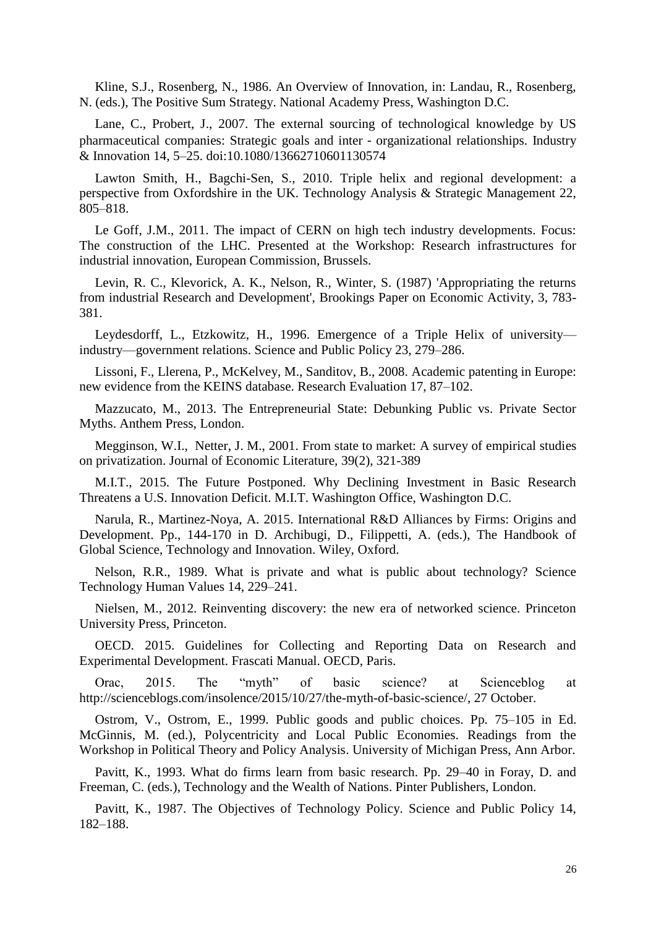Kline, S.J., Rosenberg, N., 1986. An Overview of Innovation, in: Landau, R., Rosenberg, N. (eds.), The Positive Sum Strategy. National Academy Press, Washington D.C.

Lane, C., Probert, J., 2007. The external sourcing of technological knowledge by US pharmaceutical companies: Strategic goals and inter‐organizational relationships. Industry & Innovation 14, 5–25. doi:10.1080/13662710601130574

Lawton Smith, H., Bagchi-Sen, S., 2010. Triple helix and regional development: a perspective from Oxfordshire in the UK. Technology Analysis & Strategic Management 22, 805–818.

Le Goff, J.M., 2011. The impact of CERN on high tech industry developments. Focus: The construction of the LHC. Presented at the Workshop: Research infrastructures for industrial innovation, European Commission, Brussels.

Levin, R. C., Klevorick, A. K., Nelson, R., Winter, S. (1987) 'Appropriating the returns from industrial Research and Development', Brookings Paper on Economic Activity, 3, 783- 381.

Leydesdorff, L., Etzkowitz, H., 1996. Emergence of a Triple Helix of university industry—government relations. Science and Public Policy 23, 279–286.

Lissoni, F., Llerena, P., McKelvey, M., Sanditov, B., 2008. Academic patenting in Europe: new evidence from the KEINS database. Research Evaluation 17, 87–102.

Mazzucato, M., 2013. The Entrepreneurial State: Debunking Public vs. Private Sector Myths. Anthem Press, London.

Megginson, W.I., Netter, J. M., 2001. From state to market: A survey of empirical studies on privatization. Journal of Economic Literature, 39(2), 321-389

M.I.T., 2015. The Future Postponed. Why Declining Investment in Basic Research Threatens a U.S. Innovation Deficit. M.I.T. Washington Office, Washington D.C.

Narula, R., Martinez-Noya, A. 2015. International R&D Alliances by Firms: Origins and Development. Pp., 144-170 in D. Archibugi, D., Filippetti, A. (eds.), The Handbook of Global Science, Technology and Innovation. Wiley, Oxford.

Nelson, R.R., 1989. What is private and what is public about technology? Science Technology Human Values 14, 229–241.

Nielsen, M., 2012. Reinventing discovery: the new era of networked science. Princeton University Press, Princeton.

OECD. 2015. Guidelines for Collecting and Reporting Data on Research and Experimental Development. Frascati Manual. OECD, Paris.

Orac, 2015. The "myth" of basic science? at Scienceblog at [http://scienceblogs.com/insolence/2015/10/27/the-myth-of-basic-science/,](http://scienceblogs.com/insolence/2015/10/27/the-myth-of-basic-science/) 27 October.

Ostrom, V., Ostrom, E., 1999. Public goods and public choices. Pp. 75–105 in Ed. McGinnis, M. (ed.), Polycentricity and Local Public Economies. Readings from the Workshop in Political Theory and Policy Analysis. University of Michigan Press, Ann Arbor.

Pavitt, K., 1993. What do firms learn from basic research. Pp. 29–40 in Foray, D. and Freeman, C. (eds.), Technology and the Wealth of Nations. Pinter Publishers, London.

Pavitt, K., 1987. The Objectives of Technology Policy. Science and Public Policy 14, 182–188.